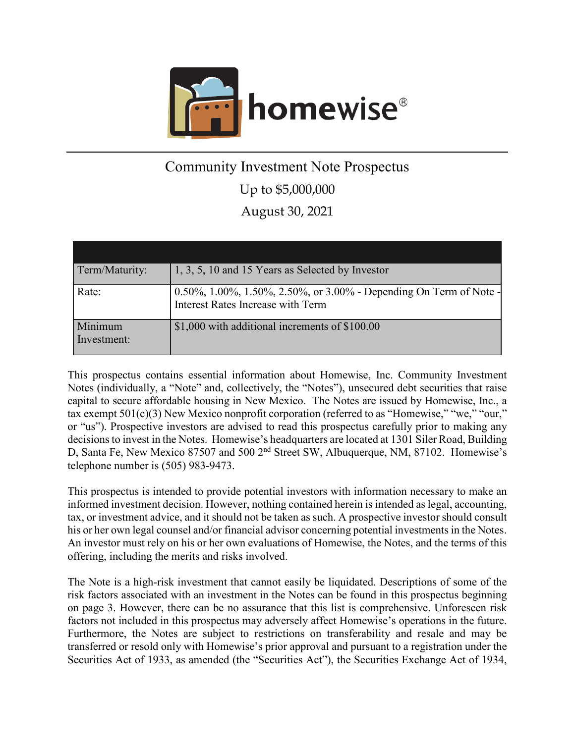

# Community Investment Note Prospectus Up to \$5,000,000 August 30, 2021

| Term/Maturity:         | 1, 3, 5, 10 and 15 Years as Selected by Investor                                                        |
|------------------------|---------------------------------------------------------------------------------------------------------|
| Rate:                  | 0.50%, 1.00%, 1.50%, 2.50%, or 3.00% - Depending On Term of Note -<br>Interest Rates Increase with Term |
| Minimum<br>Investment: | \$1,000 with additional increments of \$100.00                                                          |

This prospectus contains essential information about Homewise, Inc. Community Investment Notes (individually, a "Note" and, collectively, the "Notes"), unsecured debt securities that raise capital to secure affordable housing in New Mexico. The Notes are issued by Homewise, Inc., a tax exempt 501(c)(3) New Mexico nonprofit corporation (referred to as "Homewise," "we," "our," or "us"). Prospective investors are advised to read this prospectus carefully prior to making any decisions to invest in the Notes. Homewise's headquarters are located at 1301 Siler Road, Building D, Santa Fe, New Mexico 87507 and 500 2<sup>nd</sup> Street SW, Albuquerque, NM, 87102. Homewise's telephone number is (505) 983-9473.

This prospectus is intended to provide potential investors with information necessary to make an informed investment decision. However, nothing contained herein is intended as legal, accounting, tax, or investment advice, and it should not be taken as such. A prospective investor should consult his or her own legal counsel and/or financial advisor concerning potential investments in the Notes. An investor must rely on his or her own evaluations of Homewise, the Notes, and the terms of this offering, including the merits and risks involved.

The Note is a high-risk investment that cannot easily be liquidated. Descriptions of some of the risk factors associated with an investment in the Notes can be found in this prospectus beginning on page [3.](#page-7-0) However, there can be no assurance that this list is comprehensive. Unforeseen risk factors not included in this prospectus may adversely affect Homewise's operations in the future. Furthermore, the Notes are subject to restrictions on transferability and resale and may be transferred or resold only with Homewise's prior approval and pursuant to a registration under the Securities Act of 1933, as amended (the "Securities Act"), the Securities Exchange Act of 1934,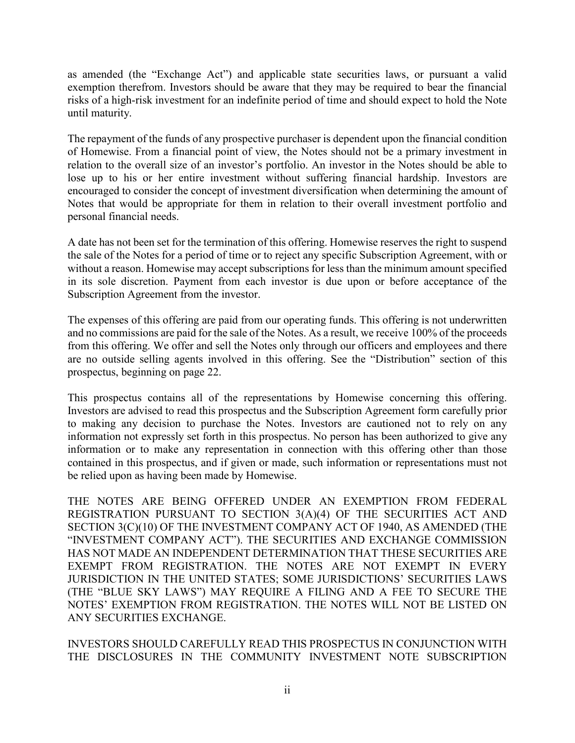as amended (the "Exchange Act") and applicable state securities laws, or pursuant a valid exemption therefrom. Investors should be aware that they may be required to bear the financial risks of a high-risk investment for an indefinite period of time and should expect to hold the Note until maturity.

The repayment of the funds of any prospective purchaser is dependent upon the financial condition of Homewise. From a financial point of view, the Notes should not be a primary investment in relation to the overall size of an investor's portfolio. An investor in the Notes should be able to lose up to his or her entire investment without suffering financial hardship. Investors are encouraged to consider the concept of investment diversification when determining the amount of Notes that would be appropriate for them in relation to their overall investment portfolio and personal financial needs.

A date has not been set for the termination of this offering. Homewise reserves the right to suspend the sale of the Notes for a period of time or to reject any specific Subscription Agreement, with or without a reason. Homewise may accept subscriptions for less than the minimum amount specified in its sole discretion. Payment from each investor is due upon or before acceptance of the Subscription Agreement from the investor.

The expenses of this offering are paid from our operating funds. This offering is not underwritten and no commissions are paid for the sale of the Notes. As a result, we receive 100% of the proceeds from this offering. We offer and sell the Notes only through our officers and employees and there are no outside selling agents involved in this offering. See the "Distribution" section of this prospectus, beginning on page [22.](#page-26-0)

This prospectus contains all of the representations by Homewise concerning this offering. Investors are advised to read this prospectus and the Subscription Agreement form carefully prior to making any decision to purchase the Notes. Investors are cautioned not to rely on any information not expressly set forth in this prospectus. No person has been authorized to give any information or to make any representation in connection with this offering other than those contained in this prospectus, and if given or made, such information or representations must not be relied upon as having been made by Homewise.

THE NOTES ARE BEING OFFERED UNDER AN EXEMPTION FROM FEDERAL REGISTRATION PURSUANT TO SECTION 3(A)(4) OF THE SECURITIES ACT AND SECTION 3(C)(10) OF THE INVESTMENT COMPANY ACT OF 1940, AS AMENDED (THE "INVESTMENT COMPANY ACT"). THE SECURITIES AND EXCHANGE COMMISSION HAS NOT MADE AN INDEPENDENT DETERMINATION THAT THESE SECURITIES ARE EXEMPT FROM REGISTRATION. THE NOTES ARE NOT EXEMPT IN EVERY JURISDICTION IN THE UNITED STATES; SOME JURISDICTIONS' SECURITIES LAWS (THE "BLUE SKY LAWS") MAY REQUIRE A FILING AND A FEE TO SECURE THE NOTES' EXEMPTION FROM REGISTRATION. THE NOTES WILL NOT BE LISTED ON ANY SECURITIES EXCHANGE.

INVESTORS SHOULD CAREFULLY READ THIS PROSPECTUS IN CONJUNCTION WITH THE DISCLOSURES IN THE COMMUNITY INVESTMENT NOTE SUBSCRIPTION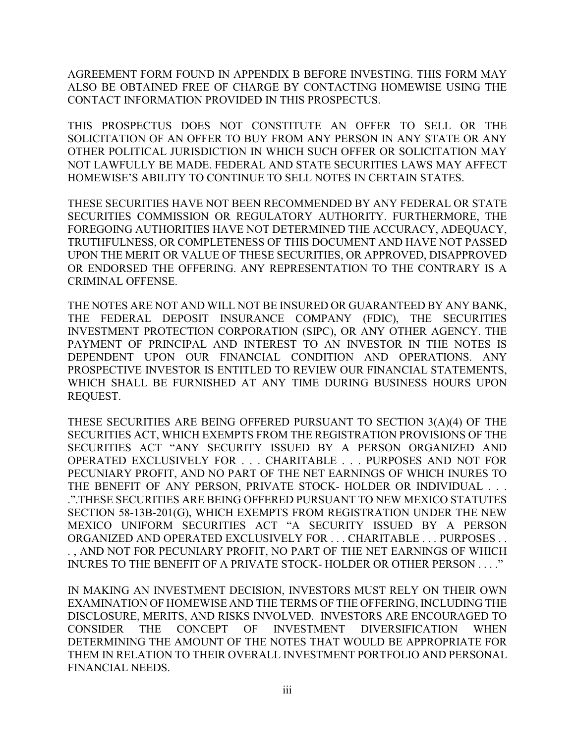AGREEMENT FORM FOUND IN APPENDIX B BEFORE INVESTING. THIS FORM MAY ALSO BE OBTAINED FREE OF CHARGE BY CONTACTING HOMEWISE USING THE CONTACT INFORMATION PROVIDED IN THIS PROSPECTUS.

THIS PROSPECTUS DOES NOT CONSTITUTE AN OFFER TO SELL OR THE SOLICITATION OF AN OFFER TO BUY FROM ANY PERSON IN ANY STATE OR ANY OTHER POLITICAL JURISDICTION IN WHICH SUCH OFFER OR SOLICITATION MAY NOT LAWFULLY BE MADE. FEDERAL AND STATE SECURITIES LAWS MAY AFFECT HOMEWISE'S ABILITY TO CONTINUE TO SELL NOTES IN CERTAIN STATES.

THESE SECURITIES HAVE NOT BEEN RECOMMENDED BY ANY FEDERAL OR STATE SECURITIES COMMISSION OR REGULATORY AUTHORITY. FURTHERMORE, THE FOREGOING AUTHORITIES HAVE NOT DETERMINED THE ACCURACY, ADEQUACY, TRUTHFULNESS, OR COMPLETENESS OF THIS DOCUMENT AND HAVE NOT PASSED UPON THE MERIT OR VALUE OF THESE SECURITIES, OR APPROVED, DISAPPROVED OR ENDORSED THE OFFERING. ANY REPRESENTATION TO THE CONTRARY IS A CRIMINAL OFFENSE.

THE NOTES ARE NOT AND WILL NOT BE INSURED OR GUARANTEED BY ANY BANK, THE FEDERAL DEPOSIT INSURANCE COMPANY (FDIC), THE SECURITIES INVESTMENT PROTECTION CORPORATION (SIPC), OR ANY OTHER AGENCY. THE PAYMENT OF PRINCIPAL AND INTEREST TO AN INVESTOR IN THE NOTES IS DEPENDENT UPON OUR FINANCIAL CONDITION AND OPERATIONS. ANY PROSPECTIVE INVESTOR IS ENTITLED TO REVIEW OUR FINANCIAL STATEMENTS, WHICH SHALL BE FURNISHED AT ANY TIME DURING BUSINESS HOURS UPON REQUEST.

THESE SECURITIES ARE BEING OFFERED PURSUANT TO SECTION 3(A)(4) OF THE SECURITIES ACT, WHICH EXEMPTS FROM THE REGISTRATION PROVISIONS OF THE SECURITIES ACT "ANY SECURITY ISSUED BY A PERSON ORGANIZED AND OPERATED EXCLUSIVELY FOR . . . CHARITABLE . . . PURPOSES AND NOT FOR PECUNIARY PROFIT, AND NO PART OF THE NET EARNINGS OF WHICH INURES TO THE BENEFIT OF ANY PERSON, PRIVATE STOCK- HOLDER OR INDIVIDUAL . . . .".THESE SECURITIES ARE BEING OFFERED PURSUANT TO NEW MEXICO STATUTES SECTION 58-13B-201(G), WHICH EXEMPTS FROM REGISTRATION UNDER THE NEW MEXICO UNIFORM SECURITIES ACT "A SECURITY ISSUED BY A PERSON ORGANIZED AND OPERATED EXCLUSIVELY FOR . . . CHARITABLE . . . PURPOSES . . . , AND NOT FOR PECUNIARY PROFIT, NO PART OF THE NET EARNINGS OF WHICH INURES TO THE BENEFIT OF A PRIVATE STOCK- HOLDER OR OTHER PERSON . . . ."

IN MAKING AN INVESTMENT DECISION, INVESTORS MUST RELY ON THEIR OWN EXAMINATION OF HOMEWISE AND THE TERMS OF THE OFFERING, INCLUDING THE DISCLOSURE, MERITS, AND RISKS INVOLVED. INVESTORS ARE ENCOURAGED TO CONSIDER THE CONCEPT OF INVESTMENT DIVERSIFICATION WHEN DETERMINING THE AMOUNT OF THE NOTES THAT WOULD BE APPROPRIATE FOR THEM IN RELATION TO THEIR OVERALL INVESTMENT PORTFOLIO AND PERSONAL FINANCIAL NEEDS.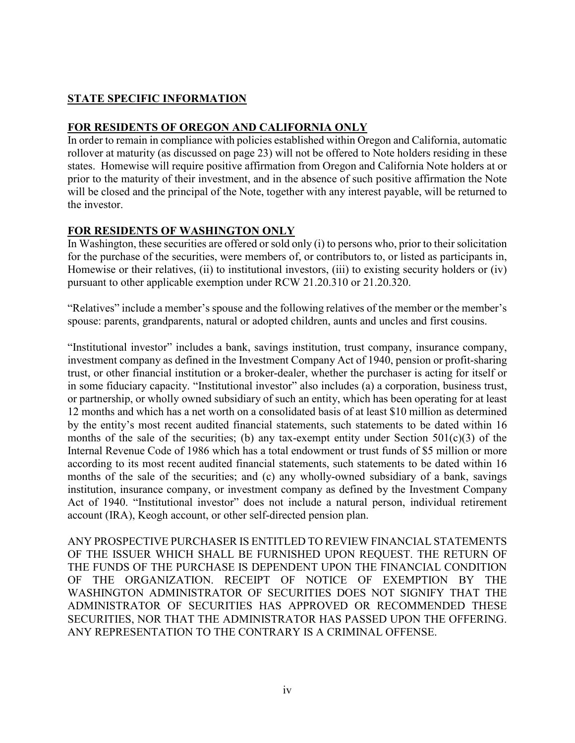# <span id="page-3-0"></span>**STATE SPECIFIC INFORMATION**

# **FOR RESIDENTS OF OREGON AND CALIFORNIA ONLY**

In order to remain in compliance with policies established within Oregon and California, automatic rollover at maturity (as discussed on page [23\)](#page-27-0) will not be offered to Note holders residing in these states. Homewise will require positive affirmation from Oregon and California Note holders at or prior to the maturity of their investment, and in the absence of such positive affirmation the Note will be closed and the principal of the Note, together with any interest payable, will be returned to the investor.

# **FOR RESIDENTS OF WASHINGTON ONLY**

In Washington, these securities are offered or sold only (i) to persons who, prior to their solicitation for the purchase of the securities, were members of, or contributors to, or listed as participants in, Homewise or their relatives, (ii) to institutional investors, (iii) to existing security holders or (iv) pursuant to other applicable exemption under RCW 21.20.310 or 21.20.320.

"Relatives" include a member's spouse and the following relatives of the member or the member's spouse: parents, grandparents, natural or adopted children, aunts and uncles and first cousins.

"Institutional investor" includes a bank, savings institution, trust company, insurance company, investment company as defined in the Investment Company Act of 1940, pension or profit-sharing trust, or other financial institution or a broker-dealer, whether the purchaser is acting for itself or in some fiduciary capacity. "Institutional investor" also includes (a) a corporation, business trust, or partnership, or wholly owned subsidiary of such an entity, which has been operating for at least 12 months and which has a net worth on a consolidated basis of at least \$10 million as determined by the entity's most recent audited financial statements, such statements to be dated within 16 months of the sale of the securities; (b) any tax-exempt entity under Section  $501(c)(3)$  of the Internal Revenue Code of 1986 which has a total endowment or trust funds of \$5 million or more according to its most recent audited financial statements, such statements to be dated within 16 months of the sale of the securities; and (c) any wholly-owned subsidiary of a bank, savings institution, insurance company, or investment company as defined by the Investment Company Act of 1940. "Institutional investor" does not include a natural person, individual retirement account (IRA), Keogh account, or other self-directed pension plan.

ANY PROSPECTIVE PURCHASER IS ENTITLED TO REVIEW FINANCIAL STATEMENTS OF THE ISSUER WHICH SHALL BE FURNISHED UPON REQUEST. THE RETURN OF THE FUNDS OF THE PURCHASE IS DEPENDENT UPON THE FINANCIAL CONDITION OF THE ORGANIZATION. RECEIPT OF NOTICE OF EXEMPTION BY THE WASHINGTON ADMINISTRATOR OF SECURITIES DOES NOT SIGNIFY THAT THE ADMINISTRATOR OF SECURITIES HAS APPROVED OR RECOMMENDED THESE SECURITIES, NOR THAT THE ADMINISTRATOR HAS PASSED UPON THE OFFERING. ANY REPRESENTATION TO THE CONTRARY IS A CRIMINAL OFFENSE.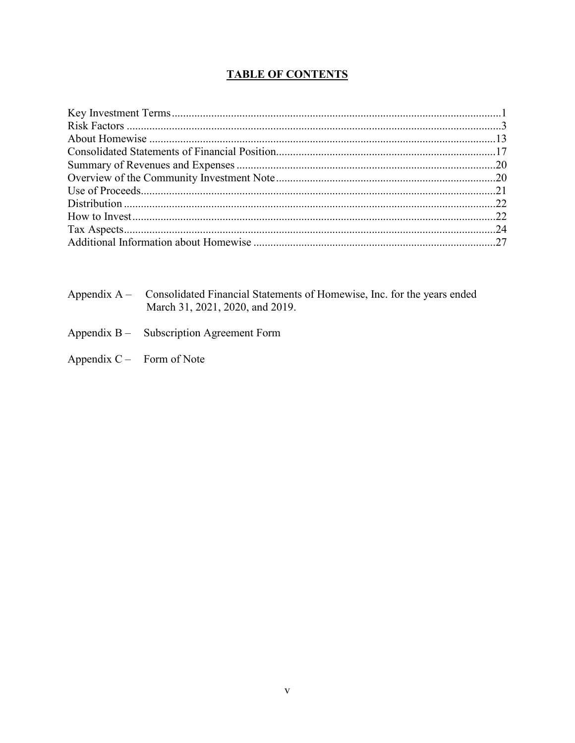# **TABLE OF CONTENTS**

- Appendix  $A -$ Consolidated Financial Statements of Homewise, Inc. for the years ended March 31, 2021, 2020, and 2019.
- Appendix B-Subscription Agreement Form
- Appendix C Form of Note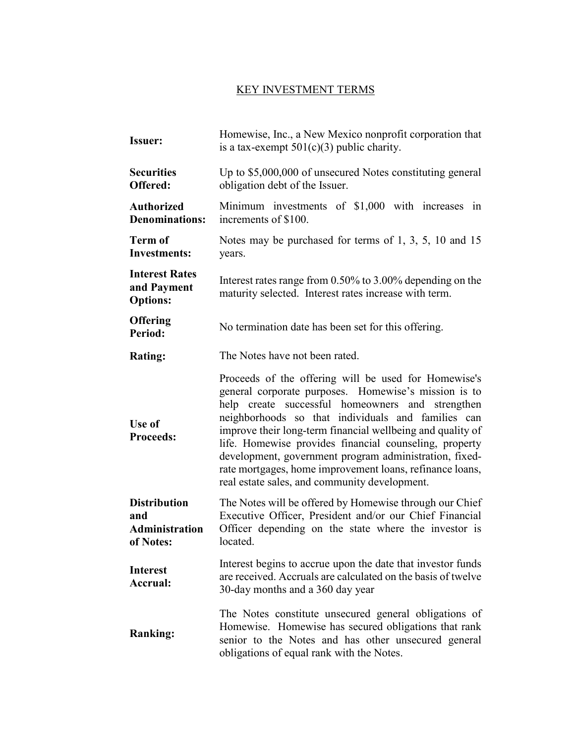# KEY INVESTMENT TERMS

<span id="page-5-0"></span>

| <b>Issuer:</b>                                            | Homewise, Inc., a New Mexico nonprofit corporation that<br>is a tax-exempt $501(c)(3)$ public charity.                                                                                                                                                                                                                                                                                                                                                                                                                |  |  |  |
|-----------------------------------------------------------|-----------------------------------------------------------------------------------------------------------------------------------------------------------------------------------------------------------------------------------------------------------------------------------------------------------------------------------------------------------------------------------------------------------------------------------------------------------------------------------------------------------------------|--|--|--|
| <b>Securities</b><br>Offered:                             | Up to \$5,000,000 of unsecured Notes constituting general<br>obligation debt of the Issuer.                                                                                                                                                                                                                                                                                                                                                                                                                           |  |  |  |
| <b>Authorized</b><br><b>Denominations:</b>                | Minimum investments of \$1,000 with increases in<br>increments of \$100.                                                                                                                                                                                                                                                                                                                                                                                                                                              |  |  |  |
| <b>Term of</b><br><b>Investments:</b>                     | Notes may be purchased for terms of 1, 3, 5, 10 and 15<br>years.                                                                                                                                                                                                                                                                                                                                                                                                                                                      |  |  |  |
| <b>Interest Rates</b><br>and Payment<br><b>Options:</b>   | Interest rates range from 0.50% to 3.00% depending on the<br>maturity selected. Interest rates increase with term.                                                                                                                                                                                                                                                                                                                                                                                                    |  |  |  |
| <b>Offering</b><br>Period:                                | No termination date has been set for this offering.                                                                                                                                                                                                                                                                                                                                                                                                                                                                   |  |  |  |
| <b>Rating:</b>                                            | The Notes have not been rated.                                                                                                                                                                                                                                                                                                                                                                                                                                                                                        |  |  |  |
| Use of<br><b>Proceeds:</b>                                | Proceeds of the offering will be used for Homewise's<br>general corporate purposes. Homewise's mission is to<br>help create successful homeowners and strengthen<br>neighborhoods so that individuals and families can<br>improve their long-term financial wellbeing and quality of<br>life. Homewise provides financial counseling, property<br>development, government program administration, fixed-<br>rate mortgages, home improvement loans, refinance loans,<br>real estate sales, and community development. |  |  |  |
| <b>Distribution</b><br>and<br>Administration<br>of Notes: | The Notes will be offered by Homewise through our Chief<br>Executive Officer, President and/or our Chief Financial<br>Officer depending on the state where the investor is<br>located.                                                                                                                                                                                                                                                                                                                                |  |  |  |
| <b>Interest</b><br>Accrual:                               | Interest begins to accrue upon the date that investor funds<br>are received. Accruals are calculated on the basis of twelve<br>30-day months and a 360 day year                                                                                                                                                                                                                                                                                                                                                       |  |  |  |
| <b>Ranking:</b>                                           | The Notes constitute unsecured general obligations of<br>Homewise. Homewise has secured obligations that rank<br>senior to the Notes and has other unsecured general<br>obligations of equal rank with the Notes.                                                                                                                                                                                                                                                                                                     |  |  |  |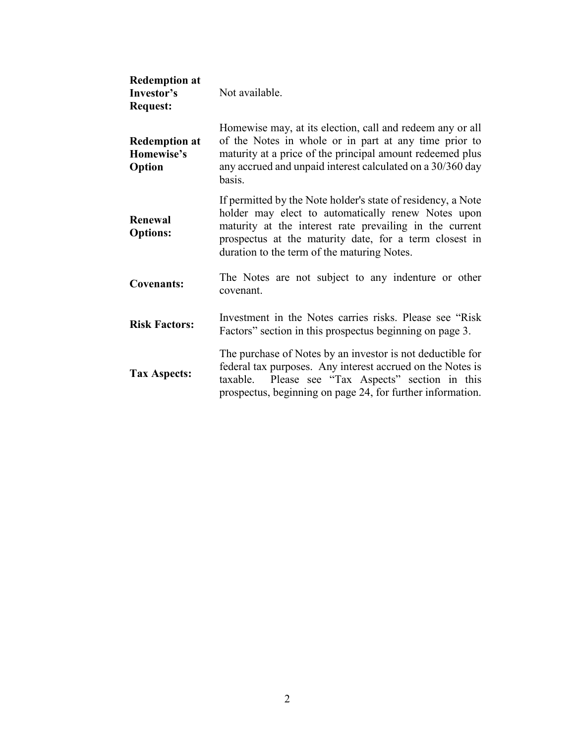| <b>Redemption at</b><br>Investor's<br><b>Request:</b> | Not available.                                                                                                                                                                                                                                                                         |  |  |  |
|-------------------------------------------------------|----------------------------------------------------------------------------------------------------------------------------------------------------------------------------------------------------------------------------------------------------------------------------------------|--|--|--|
| <b>Redemption at</b><br>Homewise's<br>Option          | Homewise may, at its election, call and redeem any or all<br>of the Notes in whole or in part at any time prior to<br>maturity at a price of the principal amount redeemed plus<br>any accrued and unpaid interest calculated on a 30/360 day<br>basis.                                |  |  |  |
| Renewal<br><b>Options:</b>                            | If permitted by the Note holder's state of residency, a Note<br>holder may elect to automatically renew Notes upon<br>maturity at the interest rate prevailing in the current<br>prospectus at the maturity date, for a term closest in<br>duration to the term of the maturing Notes. |  |  |  |
| <b>Covenants:</b>                                     | The Notes are not subject to any indenture or other<br>covenant.                                                                                                                                                                                                                       |  |  |  |
| <b>Risk Factors:</b>                                  | Investment in the Notes carries risks. Please see "Risk"<br>Factors" section in this prospectus beginning on page 3.                                                                                                                                                                   |  |  |  |
| <b>Tax Aspects:</b>                                   | The purchase of Notes by an investor is not deductible for<br>federal tax purposes. Any interest accrued on the Notes is<br>Please see "Tax Aspects" section in this<br>taxable.<br>prospectus, beginning on page 24, for further information.                                         |  |  |  |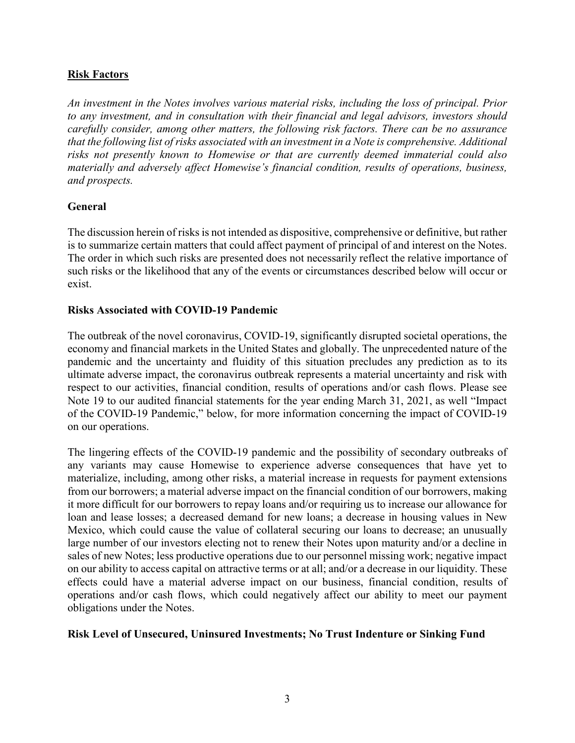## <span id="page-7-0"></span>**Risk Factors**

*An investment in the Notes involves various material risks, including the loss of principal. Prior to any investment, and in consultation with their financial and legal advisors, investors should carefully consider, among other matters, the following risk factors. There can be no assurance that the following list of risks associated with an investment in a Note is comprehensive. Additional risks not presently known to Homewise or that are currently deemed immaterial could also materially and adversely affect Homewise's financial condition, results of operations, business, and prospects.*

## **General**

The discussion herein of risks is not intended as dispositive, comprehensive or definitive, but rather is to summarize certain matters that could affect payment of principal of and interest on the Notes. The order in which such risks are presented does not necessarily reflect the relative importance of such risks or the likelihood that any of the events or circumstances described below will occur or exist.

#### **Risks Associated with COVID-19 Pandemic**

The outbreak of the novel coronavirus, COVID-19, significantly disrupted societal operations, the economy and financial markets in the United States and globally. The unprecedented nature of the pandemic and the uncertainty and fluidity of this situation precludes any prediction as to its ultimate adverse impact, the coronavirus outbreak represents a material uncertainty and risk with respect to our activities, financial condition, results of operations and/or cash flows. Please see Note 19 to our audited financial statements for the year ending March 31, 2021, as well "Impact of the COVID-19 Pandemic," below, for more information concerning the impact of COVID-19 on our operations.

The lingering effects of the COVID-19 pandemic and the possibility of secondary outbreaks of any variants may cause Homewise to experience adverse consequences that have yet to materialize, including, among other risks, a material increase in requests for payment extensions from our borrowers; a material adverse impact on the financial condition of our borrowers, making it more difficult for our borrowers to repay loans and/or requiring us to increase our allowance for loan and lease losses; a decreased demand for new loans; a decrease in housing values in New Mexico, which could cause the value of collateral securing our loans to decrease; an unusually large number of our investors electing not to renew their Notes upon maturity and/or a decline in sales of new Notes; less productive operations due to our personnel missing work; negative impact on our ability to access capital on attractive terms or at all; and/or a decrease in our liquidity. These effects could have a material adverse impact on our business, financial condition, results of operations and/or cash flows, which could negatively affect our ability to meet our payment obligations under the Notes.

#### **Risk Level of Unsecured, Uninsured Investments; No Trust Indenture or Sinking Fund**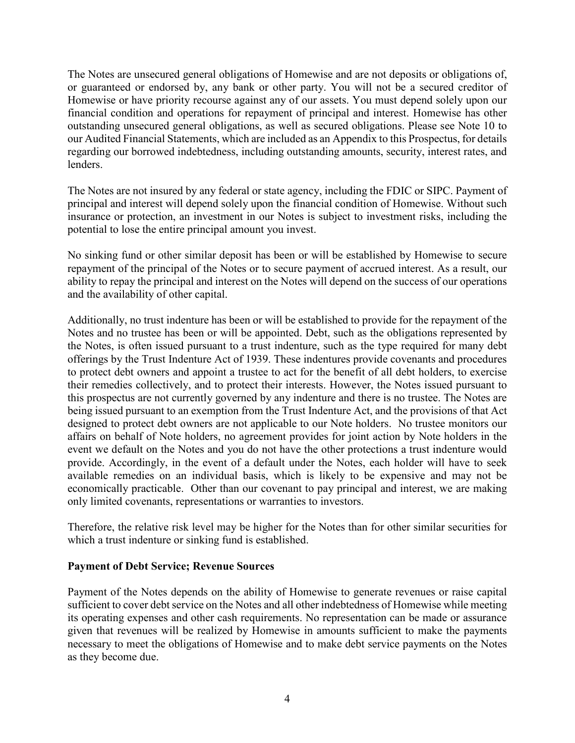The Notes are unsecured general obligations of Homewise and are not deposits or obligations of, or guaranteed or endorsed by, any bank or other party. You will not be a secured creditor of Homewise or have priority recourse against any of our assets. You must depend solely upon our financial condition and operations for repayment of principal and interest. Homewise has other outstanding unsecured general obligations, as well as secured obligations. Please see Note 10 to our Audited Financial Statements, which are included as an Appendix to this Prospectus, for details regarding our borrowed indebtedness, including outstanding amounts, security, interest rates, and lenders.

The Notes are not insured by any federal or state agency, including the FDIC or SIPC. Payment of principal and interest will depend solely upon the financial condition of Homewise. Without such insurance or protection, an investment in our Notes is subject to investment risks, including the potential to lose the entire principal amount you invest.

No sinking fund or other similar deposit has been or will be established by Homewise to secure repayment of the principal of the Notes or to secure payment of accrued interest. As a result, our ability to repay the principal and interest on the Notes will depend on the success of our operations and the availability of other capital.

Additionally, no trust indenture has been or will be established to provide for the repayment of the Notes and no trustee has been or will be appointed. Debt, such as the obligations represented by the Notes, is often issued pursuant to a trust indenture, such as the type required for many debt offerings by the Trust Indenture Act of 1939. These indentures provide covenants and procedures to protect debt owners and appoint a trustee to act for the benefit of all debt holders, to exercise their remedies collectively, and to protect their interests. However, the Notes issued pursuant to this prospectus are not currently governed by any indenture and there is no trustee. The Notes are being issued pursuant to an exemption from the Trust Indenture Act, and the provisions of that Act designed to protect debt owners are not applicable to our Note holders. No trustee monitors our affairs on behalf of Note holders, no agreement provides for joint action by Note holders in the event we default on the Notes and you do not have the other protections a trust indenture would provide. Accordingly, in the event of a default under the Notes, each holder will have to seek available remedies on an individual basis, which is likely to be expensive and may not be economically practicable. Other than our covenant to pay principal and interest, we are making only limited covenants, representations or warranties to investors.

Therefore, the relative risk level may be higher for the Notes than for other similar securities for which a trust indenture or sinking fund is established.

#### **Payment of Debt Service; Revenue Sources**

Payment of the Notes depends on the ability of Homewise to generate revenues or raise capital sufficient to cover debt service on the Notes and all other indebtedness of Homewise while meeting its operating expenses and other cash requirements. No representation can be made or assurance given that revenues will be realized by Homewise in amounts sufficient to make the payments necessary to meet the obligations of Homewise and to make debt service payments on the Notes as they become due.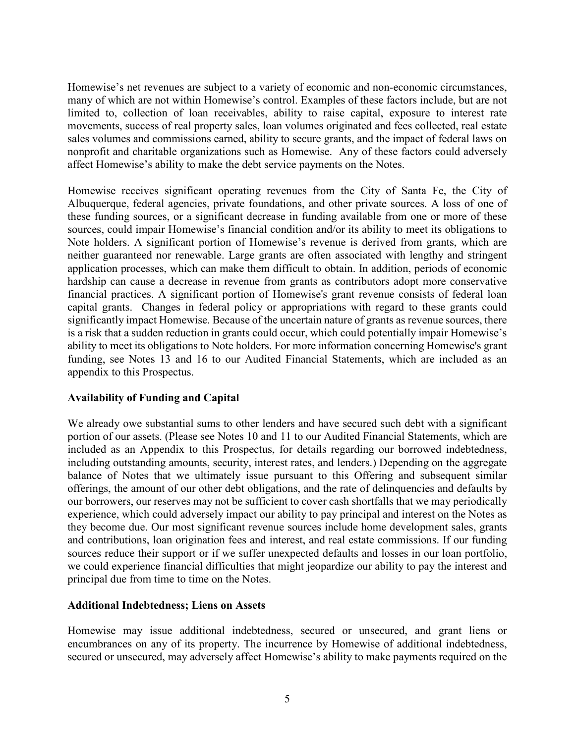Homewise's net revenues are subject to a variety of economic and non-economic circumstances, many of which are not within Homewise's control. Examples of these factors include, but are not limited to, collection of loan receivables, ability to raise capital, exposure to interest rate movements, success of real property sales, loan volumes originated and fees collected, real estate sales volumes and commissions earned, ability to secure grants, and the impact of federal laws on nonprofit and charitable organizations such as Homewise. Any of these factors could adversely affect Homewise's ability to make the debt service payments on the Notes.

Homewise receives significant operating revenues from the City of Santa Fe, the City of Albuquerque, federal agencies, private foundations, and other private sources. A loss of one of these funding sources, or a significant decrease in funding available from one or more of these sources, could impair Homewise's financial condition and/or its ability to meet its obligations to Note holders. A significant portion of Homewise's revenue is derived from grants, which are neither guaranteed nor renewable. Large grants are often associated with lengthy and stringent application processes, which can make them difficult to obtain. In addition, periods of economic hardship can cause a decrease in revenue from grants as contributors adopt more conservative financial practices. A significant portion of Homewise's grant revenue consists of federal loan capital grants. Changes in federal policy or appropriations with regard to these grants could significantly impact Homewise. Because of the uncertain nature of grants as revenue sources, there is a risk that a sudden reduction in grants could occur, which could potentially impair Homewise's ability to meet its obligations to Note holders. For more information concerning Homewise's grant funding, see Notes 13 and 16 to our Audited Financial Statements, which are included as an appendix to this Prospectus.

## **Availability of Funding and Capital**

We already owe substantial sums to other lenders and have secured such debt with a significant portion of our assets. (Please see Notes 10 and 11 to our Audited Financial Statements, which are included as an Appendix to this Prospectus, for details regarding our borrowed indebtedness, including outstanding amounts, security, interest rates, and lenders.) Depending on the aggregate balance of Notes that we ultimately issue pursuant to this Offering and subsequent similar offerings, the amount of our other debt obligations, and the rate of delinquencies and defaults by our borrowers, our reserves may not be sufficient to cover cash shortfalls that we may periodically experience, which could adversely impact our ability to pay principal and interest on the Notes as they become due. Our most significant revenue sources include home development sales, grants and contributions, loan origination fees and interest, and real estate commissions. If our funding sources reduce their support or if we suffer unexpected defaults and losses in our loan portfolio, we could experience financial difficulties that might jeopardize our ability to pay the interest and principal due from time to time on the Notes.

## **Additional Indebtedness; Liens on Assets**

Homewise may issue additional indebtedness, secured or unsecured, and grant liens or encumbrances on any of its property. The incurrence by Homewise of additional indebtedness, secured or unsecured, may adversely affect Homewise's ability to make payments required on the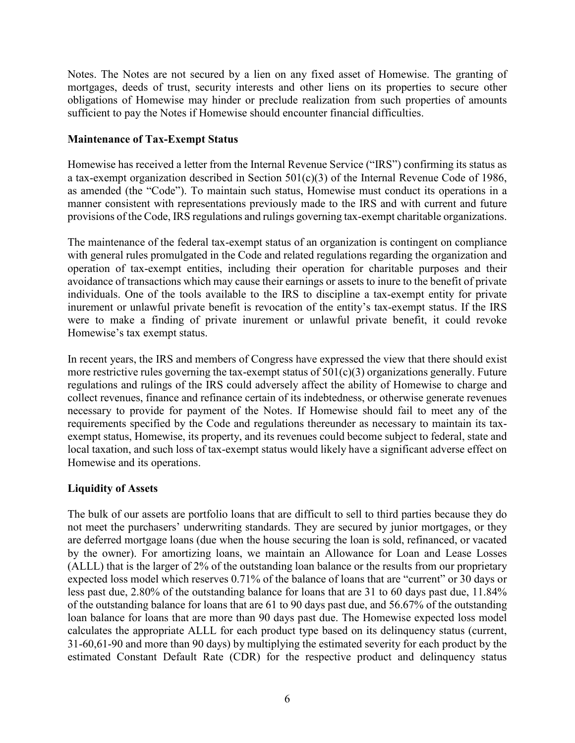Notes. The Notes are not secured by a lien on any fixed asset of Homewise. The granting of mortgages, deeds of trust, security interests and other liens on its properties to secure other obligations of Homewise may hinder or preclude realization from such properties of amounts sufficient to pay the Notes if Homewise should encounter financial difficulties.

## **Maintenance of Tax-Exempt Status**

Homewise has received a letter from the Internal Revenue Service ("IRS") confirming its status as a tax-exempt organization described in Section 501(c)(3) of the Internal Revenue Code of 1986, as amended (the "Code"). To maintain such status, Homewise must conduct its operations in a manner consistent with representations previously made to the IRS and with current and future provisions of the Code, IRS regulations and rulings governing tax-exempt charitable organizations.

The maintenance of the federal tax-exempt status of an organization is contingent on compliance with general rules promulgated in the Code and related regulations regarding the organization and operation of tax-exempt entities, including their operation for charitable purposes and their avoidance of transactions which may cause their earnings or assets to inure to the benefit of private individuals. One of the tools available to the IRS to discipline a tax-exempt entity for private inurement or unlawful private benefit is revocation of the entity's tax-exempt status. If the IRS were to make a finding of private inurement or unlawful private benefit, it could revoke Homewise's tax exempt status.

In recent years, the IRS and members of Congress have expressed the view that there should exist more restrictive rules governing the tax-exempt status of  $501(c)(3)$  organizations generally. Future regulations and rulings of the IRS could adversely affect the ability of Homewise to charge and collect revenues, finance and refinance certain of its indebtedness, or otherwise generate revenues necessary to provide for payment of the Notes. If Homewise should fail to meet any of the requirements specified by the Code and regulations thereunder as necessary to maintain its taxexempt status, Homewise, its property, and its revenues could become subject to federal, state and local taxation, and such loss of tax-exempt status would likely have a significant adverse effect on Homewise and its operations.

## **Liquidity of Assets**

The bulk of our assets are portfolio loans that are difficult to sell to third parties because they do not meet the purchasers' underwriting standards. They are secured by junior mortgages, or they are deferred mortgage loans (due when the house securing the loan is sold, refinanced, or vacated by the owner). For amortizing loans, we maintain an Allowance for Loan and Lease Losses (ALLL) that is the larger of 2% of the outstanding loan balance or the results from our proprietary expected loss model which reserves 0.71% of the balance of loans that are "current" or 30 days or less past due, 2.80% of the outstanding balance for loans that are 31 to 60 days past due, 11.84% of the outstanding balance for loans that are 61 to 90 days past due, and 56.67% of the outstanding loan balance for loans that are more than 90 days past due. The Homewise expected loss model calculates the appropriate ALLL for each product type based on its delinquency status (current, 31-60,61-90 and more than 90 days) by multiplying the estimated severity for each product by the estimated Constant Default Rate (CDR) for the respective product and delinquency status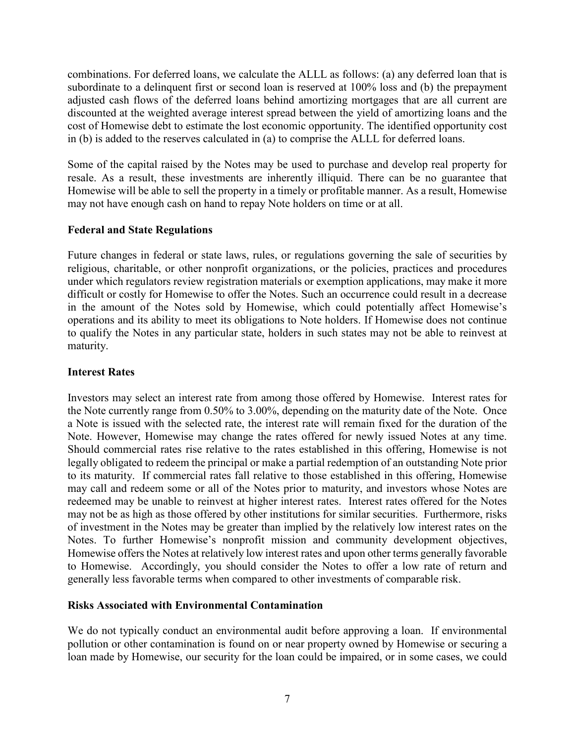combinations. For deferred loans, we calculate the ALLL as follows: (a) any deferred loan that is subordinate to a delinquent first or second loan is reserved at 100% loss and (b) the prepayment adjusted cash flows of the deferred loans behind amortizing mortgages that are all current are discounted at the weighted average interest spread between the yield of amortizing loans and the cost of Homewise debt to estimate the lost economic opportunity. The identified opportunity cost in (b) is added to the reserves calculated in (a) to comprise the ALLL for deferred loans.

Some of the capital raised by the Notes may be used to purchase and develop real property for resale. As a result, these investments are inherently illiquid. There can be no guarantee that Homewise will be able to sell the property in a timely or profitable manner. As a result, Homewise may not have enough cash on hand to repay Note holders on time or at all.

## **Federal and State Regulations**

Future changes in federal or state laws, rules, or regulations governing the sale of securities by religious, charitable, or other nonprofit organizations, or the policies, practices and procedures under which regulators review registration materials or exemption applications, may make it more difficult or costly for Homewise to offer the Notes. Such an occurrence could result in a decrease in the amount of the Notes sold by Homewise, which could potentially affect Homewise's operations and its ability to meet its obligations to Note holders. If Homewise does not continue to qualify the Notes in any particular state, holders in such states may not be able to reinvest at maturity.

#### **Interest Rates**

Investors may select an interest rate from among those offered by Homewise. Interest rates for the Note currently range from 0.50% to 3.00%, depending on the maturity date of the Note. Once a Note is issued with the selected rate, the interest rate will remain fixed for the duration of the Note. However, Homewise may change the rates offered for newly issued Notes at any time. Should commercial rates rise relative to the rates established in this offering, Homewise is not legally obligated to redeem the principal or make a partial redemption of an outstanding Note prior to its maturity. If commercial rates fall relative to those established in this offering, Homewise may call and redeem some or all of the Notes prior to maturity, and investors whose Notes are redeemed may be unable to reinvest at higher interest rates. Interest rates offered for the Notes may not be as high as those offered by other institutions for similar securities. Furthermore, risks of investment in the Notes may be greater than implied by the relatively low interest rates on the Notes. To further Homewise's nonprofit mission and community development objectives, Homewise offers the Notes at relatively low interest rates and upon other terms generally favorable to Homewise. Accordingly, you should consider the Notes to offer a low rate of return and generally less favorable terms when compared to other investments of comparable risk.

## **Risks Associated with Environmental Contamination**

We do not typically conduct an environmental audit before approving a loan. If environmental pollution or other contamination is found on or near property owned by Homewise or securing a loan made by Homewise, our security for the loan could be impaired, or in some cases, we could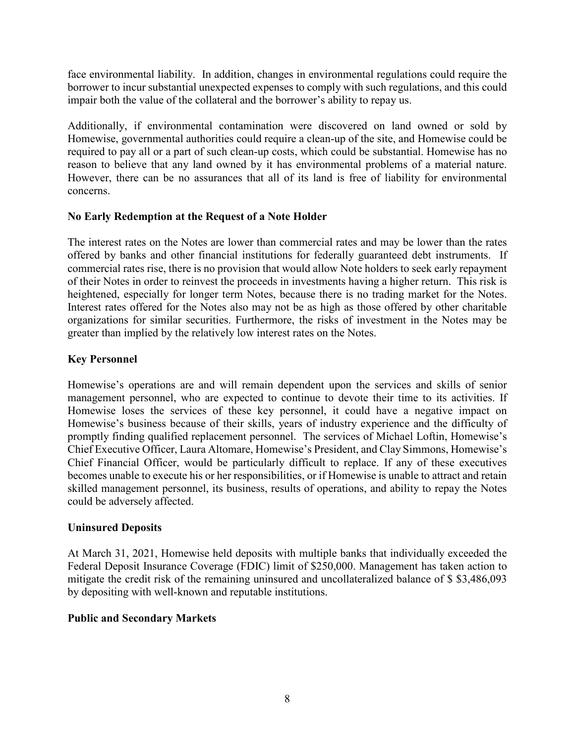face environmental liability. In addition, changes in environmental regulations could require the borrower to incur substantial unexpected expenses to comply with such regulations, and this could impair both the value of the collateral and the borrower's ability to repay us.

Additionally, if environmental contamination were discovered on land owned or sold by Homewise, governmental authorities could require a clean-up of the site, and Homewise could be required to pay all or a part of such clean-up costs, which could be substantial. Homewise has no reason to believe that any land owned by it has environmental problems of a material nature. However, there can be no assurances that all of its land is free of liability for environmental concerns.

## **No Early Redemption at the Request of a Note Holder**

The interest rates on the Notes are lower than commercial rates and may be lower than the rates offered by banks and other financial institutions for federally guaranteed debt instruments. If commercial rates rise, there is no provision that would allow Note holders to seek early repayment of their Notes in order to reinvest the proceeds in investments having a higher return. This risk is heightened, especially for longer term Notes, because there is no trading market for the Notes. Interest rates offered for the Notes also may not be as high as those offered by other charitable organizations for similar securities. Furthermore, the risks of investment in the Notes may be greater than implied by the relatively low interest rates on the Notes.

# **Key Personnel**

Homewise's operations are and will remain dependent upon the services and skills of senior management personnel, who are expected to continue to devote their time to its activities. If Homewise loses the services of these key personnel, it could have a negative impact on Homewise's business because of their skills, years of industry experience and the difficulty of promptly finding qualified replacement personnel. The services of Michael Loftin, Homewise's Chief Executive Officer, Laura Altomare, Homewise's President, and Clay Simmons, Homewise's Chief Financial Officer, would be particularly difficult to replace. If any of these executives becomes unable to execute his or her responsibilities, or if Homewise is unable to attract and retain skilled management personnel, its business, results of operations, and ability to repay the Notes could be adversely affected.

## **Uninsured Deposits**

At March 31, 2021, Homewise held deposits with multiple banks that individually exceeded the Federal Deposit Insurance Coverage (FDIC) limit of \$250,000. Management has taken action to mitigate the credit risk of the remaining uninsured and uncollateralized balance of \$ \$3,486,093 by depositing with well-known and reputable institutions.

## **Public and Secondary Markets**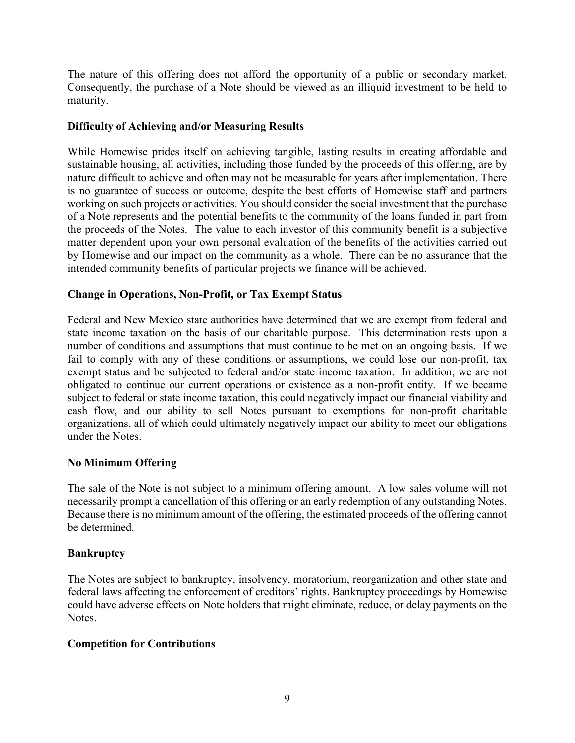The nature of this offering does not afford the opportunity of a public or secondary market. Consequently, the purchase of a Note should be viewed as an illiquid investment to be held to maturity.

## **Difficulty of Achieving and/or Measuring Results**

While Homewise prides itself on achieving tangible, lasting results in creating affordable and sustainable housing, all activities, including those funded by the proceeds of this offering, are by nature difficult to achieve and often may not be measurable for years after implementation. There is no guarantee of success or outcome, despite the best efforts of Homewise staff and partners working on such projects or activities. You should consider the social investment that the purchase of a Note represents and the potential benefits to the community of the loans funded in part from the proceeds of the Notes. The value to each investor of this community benefit is a subjective matter dependent upon your own personal evaluation of the benefits of the activities carried out by Homewise and our impact on the community as a whole. There can be no assurance that the intended community benefits of particular projects we finance will be achieved.

## **Change in Operations, Non-Profit, or Tax Exempt Status**

Federal and New Mexico state authorities have determined that we are exempt from federal and state income taxation on the basis of our charitable purpose. This determination rests upon a number of conditions and assumptions that must continue to be met on an ongoing basis. If we fail to comply with any of these conditions or assumptions, we could lose our non-profit, tax exempt status and be subjected to federal and/or state income taxation. In addition, we are not obligated to continue our current operations or existence as a non-profit entity. If we became subject to federal or state income taxation, this could negatively impact our financial viability and cash flow, and our ability to sell Notes pursuant to exemptions for non-profit charitable organizations, all of which could ultimately negatively impact our ability to meet our obligations under the Notes.

## **No Minimum Offering**

The sale of the Note is not subject to a minimum offering amount. A low sales volume will not necessarily prompt a cancellation of this offering or an early redemption of any outstanding Notes. Because there is no minimum amount of the offering, the estimated proceeds of the offering cannot be determined.

#### **Bankruptcy**

The Notes are subject to bankruptcy, insolvency, moratorium, reorganization and other state and federal laws affecting the enforcement of creditors' rights. Bankruptcy proceedings by Homewise could have adverse effects on Note holders that might eliminate, reduce, or delay payments on the Notes.

#### **Competition for Contributions**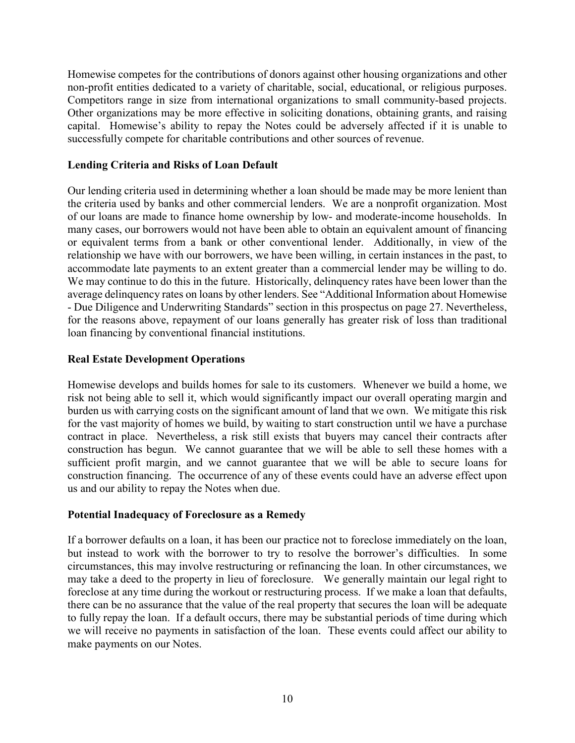Homewise competes for the contributions of donors against other housing organizations and other non-profit entities dedicated to a variety of charitable, social, educational, or religious purposes. Competitors range in size from international organizations to small community-based projects. Other organizations may be more effective in soliciting donations, obtaining grants, and raising capital. Homewise's ability to repay the Notes could be adversely affected if it is unable to successfully compete for charitable contributions and other sources of revenue.

## **Lending Criteria and Risks of Loan Default**

Our lending criteria used in determining whether a loan should be made may be more lenient than the criteria used by banks and other commercial lenders. We are a nonprofit organization. Most of our loans are made to finance home ownership by low- and moderate-income households. In many cases, our borrowers would not have been able to obtain an equivalent amount of financing or equivalent terms from a bank or other conventional lender. Additionally, in view of the relationship we have with our borrowers, we have been willing, in certain instances in the past, to accommodate late payments to an extent greater than a commercial lender may be willing to do. We may continue to do this in the future. Historically, delinguency rates have been lower than the average delinquency rates on loans by other lenders. See "Additional Information about Homewise - Due Diligence and Underwriting Standards" section in this prospectus on page [27.](#page-31-1) Nevertheless, for the reasons above, repayment of our loans generally has greater risk of loss than traditional loan financing by conventional financial institutions.

## **Real Estate Development Operations**

Homewise develops and builds homes for sale to its customers. Whenever we build a home, we risk not being able to sell it, which would significantly impact our overall operating margin and burden us with carrying costs on the significant amount of land that we own. We mitigate this risk for the vast majority of homes we build, by waiting to start construction until we have a purchase contract in place. Nevertheless, a risk still exists that buyers may cancel their contracts after construction has begun. We cannot guarantee that we will be able to sell these homes with a sufficient profit margin, and we cannot guarantee that we will be able to secure loans for construction financing. The occurrence of any of these events could have an adverse effect upon us and our ability to repay the Notes when due.

#### **Potential Inadequacy of Foreclosure as a Remedy**

If a borrower defaults on a loan, it has been our practice not to foreclose immediately on the loan, but instead to work with the borrower to try to resolve the borrower's difficulties. In some circumstances, this may involve restructuring or refinancing the loan. In other circumstances, we may take a deed to the property in lieu of foreclosure. We generally maintain our legal right to foreclose at any time during the workout or restructuring process. If we make a loan that defaults, there can be no assurance that the value of the real property that secures the loan will be adequate to fully repay the loan. If a default occurs, there may be substantial periods of time during which we will receive no payments in satisfaction of the loan. These events could affect our ability to make payments on our Notes.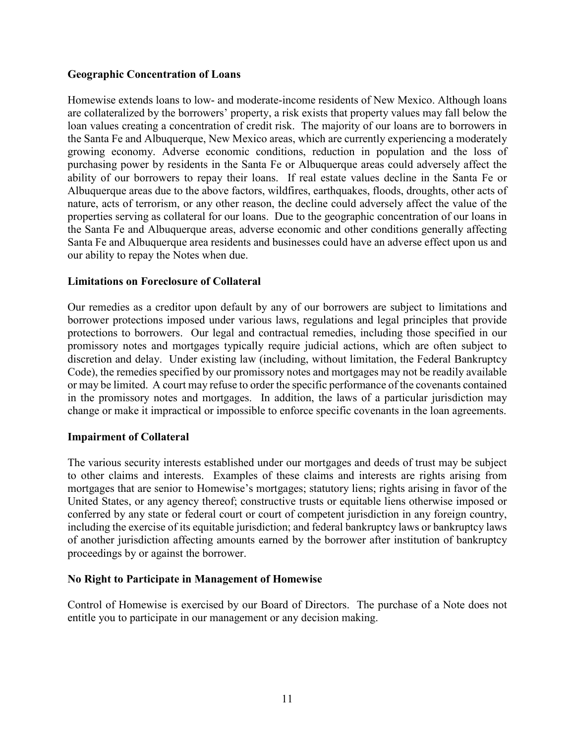## **Geographic Concentration of Loans**

Homewise extends loans to low- and moderate-income residents of New Mexico. Although loans are collateralized by the borrowers' property, a risk exists that property values may fall below the loan values creating a concentration of credit risk. The majority of our loans are to borrowers in the Santa Fe and Albuquerque, New Mexico areas, which are currently experiencing a moderately growing economy. Adverse economic conditions, reduction in population and the loss of purchasing power by residents in the Santa Fe or Albuquerque areas could adversely affect the ability of our borrowers to repay their loans. If real estate values decline in the Santa Fe or Albuquerque areas due to the above factors, wildfires, earthquakes, floods, droughts, other acts of nature, acts of terrorism, or any other reason, the decline could adversely affect the value of the properties serving as collateral for our loans. Due to the geographic concentration of our loans in the Santa Fe and Albuquerque areas, adverse economic and other conditions generally affecting Santa Fe and Albuquerque area residents and businesses could have an adverse effect upon us and our ability to repay the Notes when due.

## **Limitations on Foreclosure of Collateral**

Our remedies as a creditor upon default by any of our borrowers are subject to limitations and borrower protections imposed under various laws, regulations and legal principles that provide protections to borrowers. Our legal and contractual remedies, including those specified in our promissory notes and mortgages typically require judicial actions, which are often subject to discretion and delay. Under existing law (including, without limitation, the Federal Bankruptcy Code), the remedies specified by our promissory notes and mortgages may not be readily available or may be limited. A court may refuse to order the specific performance of the covenants contained in the promissory notes and mortgages. In addition, the laws of a particular jurisdiction may change or make it impractical or impossible to enforce specific covenants in the loan agreements.

#### **Impairment of Collateral**

The various security interests established under our mortgages and deeds of trust may be subject to other claims and interests. Examples of these claims and interests are rights arising from mortgages that are senior to Homewise's mortgages; statutory liens; rights arising in favor of the United States, or any agency thereof; constructive trusts or equitable liens otherwise imposed or conferred by any state or federal court or court of competent jurisdiction in any foreign country, including the exercise of its equitable jurisdiction; and federal bankruptcy laws or bankruptcy laws of another jurisdiction affecting amounts earned by the borrower after institution of bankruptcy proceedings by or against the borrower.

#### **No Right to Participate in Management of Homewise**

Control of Homewise is exercised by our Board of Directors. The purchase of a Note does not entitle you to participate in our management or any decision making.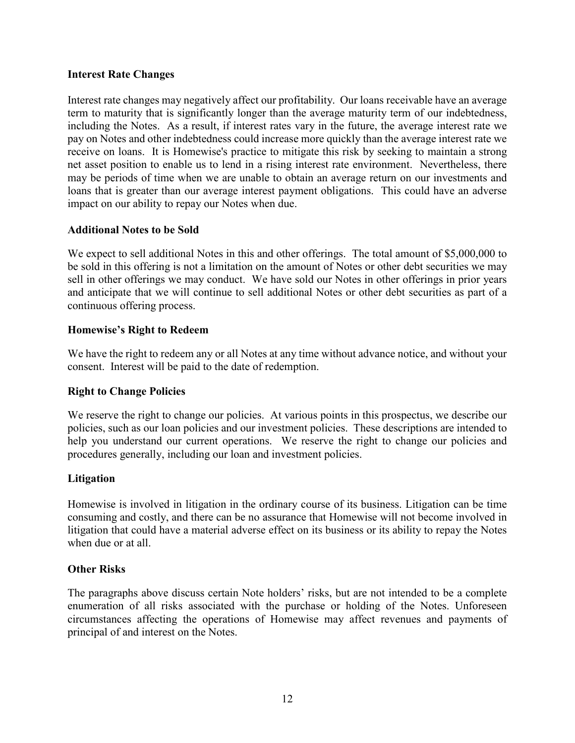#### **Interest Rate Changes**

Interest rate changes may negatively affect our profitability. Our loans receivable have an average term to maturity that is significantly longer than the average maturity term of our indebtedness, including the Notes. As a result, if interest rates vary in the future, the average interest rate we pay on Notes and other indebtedness could increase more quickly than the average interest rate we receive on loans. It is Homewise's practice to mitigate this risk by seeking to maintain a strong net asset position to enable us to lend in a rising interest rate environment. Nevertheless, there may be periods of time when we are unable to obtain an average return on our investments and loans that is greater than our average interest payment obligations. This could have an adverse impact on our ability to repay our Notes when due.

## **Additional Notes to be Sold**

We expect to sell additional Notes in this and other offerings. The total amount of \$5,000,000 to be sold in this offering is not a limitation on the amount of Notes or other debt securities we may sell in other offerings we may conduct. We have sold our Notes in other offerings in prior years and anticipate that we will continue to sell additional Notes or other debt securities as part of a continuous offering process.

## **Homewise's Right to Redeem**

We have the right to redeem any or all Notes at any time without advance notice, and without your consent. Interest will be paid to the date of redemption.

## **Right to Change Policies**

We reserve the right to change our policies. At various points in this prospectus, we describe our policies, such as our loan policies and our investment policies. These descriptions are intended to help you understand our current operations. We reserve the right to change our policies and procedures generally, including our loan and investment policies.

#### **Litigation**

Homewise is involved in litigation in the ordinary course of its business. Litigation can be time consuming and costly, and there can be no assurance that Homewise will not become involved in litigation that could have a material adverse effect on its business or its ability to repay the Notes when due or at all.

#### **Other Risks**

The paragraphs above discuss certain Note holders' risks, but are not intended to be a complete enumeration of all risks associated with the purchase or holding of the Notes. Unforeseen circumstances affecting the operations of Homewise may affect revenues and payments of principal of and interest on the Notes.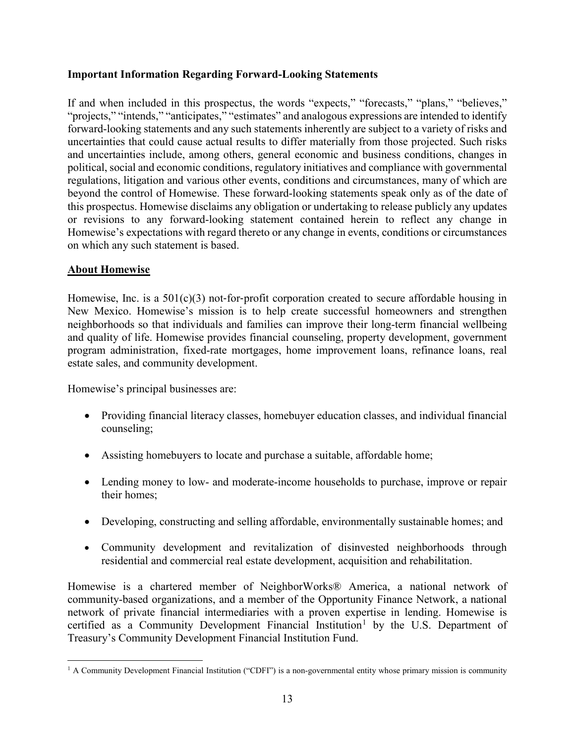## **Important Information Regarding Forward-Looking Statements**

If and when included in this prospectus, the words "expects," "forecasts," "plans," "believes," "projects," "intends," "anticipates," "estimates" and analogous expressions are intended to identify forward-looking statements and any such statements inherently are subject to a variety of risks and uncertainties that could cause actual results to differ materially from those projected. Such risks and uncertainties include, among others, general economic and business conditions, changes in political, social and economic conditions, regulatory initiatives and compliance with governmental regulations, litigation and various other events, conditions and circumstances, many of which are beyond the control of Homewise. These forward-looking statements speak only as of the date of this prospectus. Homewise disclaims any obligation or undertaking to release publicly any updates or revisions to any forward-looking statement contained herein to reflect any change in Homewise's expectations with regard thereto or any change in events, conditions or circumstances on which any such statement is based.

## <span id="page-17-0"></span>**About Homewise**

Homewise, Inc. is a  $501(c)(3)$  not-for-profit corporation created to secure affordable housing in New Mexico. Homewise's mission is to help create successful homeowners and strengthen neighborhoods so that individuals and families can improve their long-term financial wellbeing and quality of life. Homewise provides financial counseling, property development, government program administration, fixed-rate mortgages, home improvement loans, refinance loans, real estate sales, and community development.

Homewise's principal businesses are:

- Providing financial literacy classes, homebuyer education classes, and individual financial counseling;
- Assisting homebuyers to locate and purchase a suitable, affordable home;
- Lending money to low- and moderate-income households to purchase, improve or repair their homes;
- Developing, constructing and selling affordable, environmentally sustainable homes; and
- Community development and revitalization of disinvested neighborhoods through residential and commercial real estate development, acquisition and rehabilitation.

Homewise is a chartered member of NeighborWorks® America, a national network of community-based organizations, and a member of the Opportunity Finance Network, a national network of private financial intermediaries with a proven expertise in lending. Homewise is certified as a Community Development Financial Institution<sup>[1](#page-17-1)</sup> by the U.S. Department of Treasury's Community Development Financial Institution Fund.

<span id="page-17-1"></span> $<sup>1</sup>$  A Community Development Financial Institution ("CDFI") is a non-governmental entity whose primary mission is community</sup>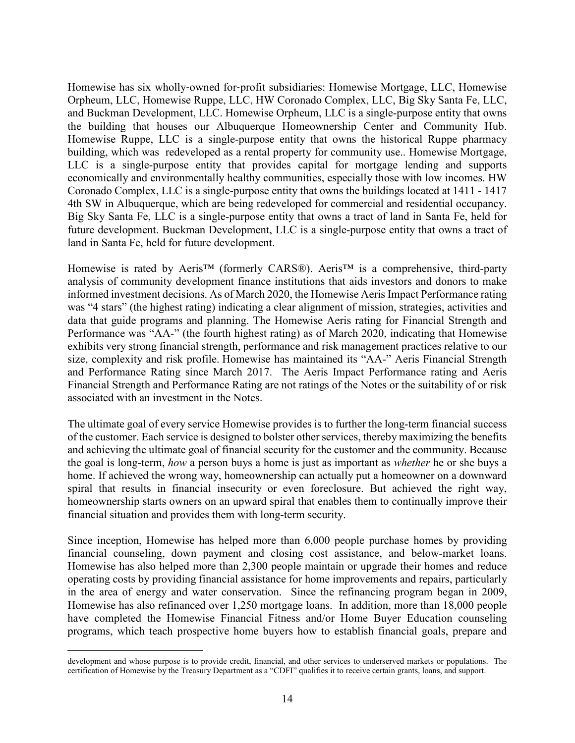Homewise has six wholly‐owned for‐profit subsidiaries: Homewise Mortgage, LLC, Homewise Orpheum, LLC, Homewise Ruppe, LLC, HW Coronado Complex, LLC, Big Sky Santa Fe, LLC, and Buckman Development, LLC. Homewise Orpheum, LLC is a single-purpose entity that owns the building that houses our Albuquerque Homeownership Center and Community Hub. Homewise Ruppe, LLC is a single-purpose entity that owns the historical Ruppe pharmacy building, which was redeveloped as a rental property for community use.. Homewise Mortgage, LLC is a single-purpose entity that provides capital for mortgage lending and supports economically and environmentally healthy communities, especially those with low incomes. HW Coronado Complex, LLC is a single-purpose entity that owns the buildings located at 1411 - 1417 4th SW in Albuquerque, which are being redeveloped for commercial and residential occupancy. Big Sky Santa Fe, LLC is a single-purpose entity that owns a tract of land in Santa Fe, held for future development. Buckman Development, LLC is a single-purpose entity that owns a tract of land in Santa Fe, held for future development.

Homewise is rated by Aeris™ (formerly CARS®). Aeris™ is a comprehensive, third-party analysis of community development finance institutions that aids investors and donors to make informed investment decisions. As of March 2020, the Homewise Aeris Impact Performance rating was "4 stars" (the highest rating) indicating a clear alignment of mission, strategies, activities and data that guide programs and planning. The Homewise Aeris rating for Financial Strength and Performance was "AA-" (the fourth highest rating) as of March 2020, indicating that Homewise exhibits very strong financial strength, performance and risk management practices relative to our size, complexity and risk profile. Homewise has maintained its "AA-" Aeris Financial Strength and Performance Rating since March 2017. The Aeris Impact Performance rating and Aeris Financial Strength and Performance Rating are not ratings of the Notes or the suitability of or risk associated with an investment in the Notes.

The ultimate goal of every service Homewise provides is to further the long-term financial success of the customer. Each service is designed to bolster other services, thereby maximizing the benefits and achieving the ultimate goal of financial security for the customer and the community. Because the goal is long-term, *how* a person buys a home is just as important as *whether* he or she buys a home. If achieved the wrong way, homeownership can actually put a homeowner on a downward spiral that results in financial insecurity or even foreclosure. But achieved the right way, homeownership starts owners on an upward spiral that enables them to continually improve their financial situation and provides them with long-term security.

Since inception, Homewise has helped more than 6,000 people purchase homes by providing financial counseling, down payment and closing cost assistance, and below-market loans. Homewise has also helped more than 2,300 people maintain or upgrade their homes and reduce operating costs by providing financial assistance for home improvements and repairs, particularly in the area of energy and water conservation. Since the refinancing program began in 2009, Homewise has also refinanced over 1,250 mortgage loans. In addition, more than 18,000 people have completed the Homewise Financial Fitness and/or Home Buyer Education counseling programs, which teach prospective home buyers how to establish financial goals, prepare and

development and whose purpose is to provide credit, financial, and other services to underserved markets or populations. The certification of Homewise by the Treasury Department as a "CDFI" qualifies it to receive certain grants, loans, and support.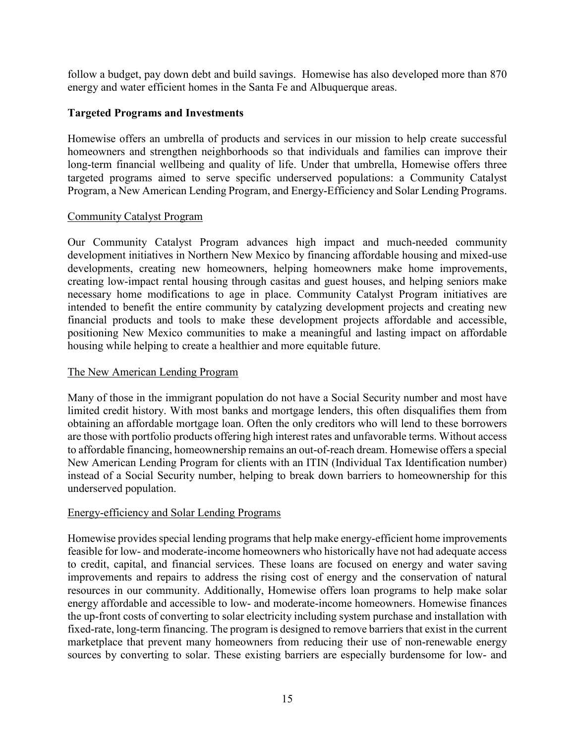follow a budget, pay down debt and build savings. Homewise has also developed more than 870 energy and water efficient homes in the Santa Fe and Albuquerque areas.

## **Targeted Programs and Investments**

Homewise offers an umbrella of products and services in our mission to help create successful homeowners and strengthen neighborhoods so that individuals and families can improve their long-term financial wellbeing and quality of life. Under that umbrella, Homewise offers three targeted programs aimed to serve specific underserved populations: a Community Catalyst Program, a New American Lending Program, and Energy-Efficiency and Solar Lending Programs.

#### Community Catalyst Program

Our Community Catalyst Program advances high impact and much-needed community development initiatives in Northern New Mexico by financing affordable housing and mixed-use developments, creating new homeowners, helping homeowners make home improvements, creating low-impact rental housing through casitas and guest houses, and helping seniors make necessary home modifications to age in place. Community Catalyst Program initiatives are intended to benefit the entire community by catalyzing development projects and creating new financial products and tools to make these development projects affordable and accessible, positioning New Mexico communities to make a meaningful and lasting impact on affordable housing while helping to create a healthier and more equitable future.

## The New American Lending Program

Many of those in the immigrant population do not have a Social Security number and most have limited credit history. With most banks and mortgage lenders, this often disqualifies them from obtaining an affordable mortgage loan. Often the only creditors who will lend to these borrowers are those with portfolio products offering high interest rates and unfavorable terms. Without access to affordable financing, homeownership remains an out-of-reach dream. Homewise offers a special New American Lending Program for clients with an ITIN (Individual Tax Identification number) instead of a Social Security number, helping to break down barriers to homeownership for this underserved population.

## Energy-efficiency and Solar Lending Programs

Homewise provides special lending programs that help make energy-efficient home improvements feasible for low- and moderate-income homeowners who historically have not had adequate access to credit, capital, and financial services. These loans are focused on energy and water saving improvements and repairs to address the rising cost of energy and the conservation of natural resources in our community. Additionally, Homewise offers loan programs to help make solar energy affordable and accessible to low- and moderate-income homeowners. Homewise finances the up-front costs of converting to solar electricity including system purchase and installation with fixed-rate, long-term financing. The program is designed to remove barriers that exist in the current marketplace that prevent many homeowners from reducing their use of non-renewable energy sources by converting to solar. These existing barriers are especially burdensome for low- and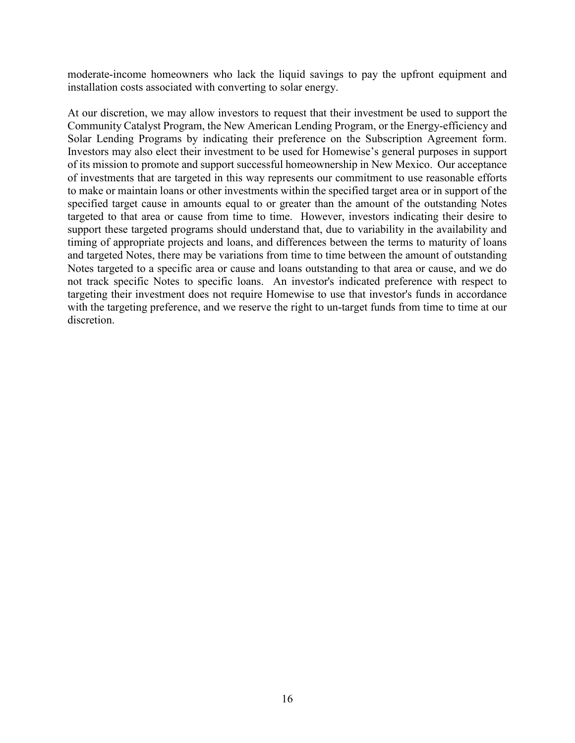moderate-income homeowners who lack the liquid savings to pay the upfront equipment and installation costs associated with converting to solar energy.

At our discretion, we may allow investors to request that their investment be used to support the Community Catalyst Program, the New American Lending Program, or the Energy-efficiency and Solar Lending Programs by indicating their preference on the Subscription Agreement form. Investors may also elect their investment to be used for Homewise's general purposes in support of its mission to promote and support successful homeownership in New Mexico. Our acceptance of investments that are targeted in this way represents our commitment to use reasonable efforts to make or maintain loans or other investments within the specified target area or in support of the specified target cause in amounts equal to or greater than the amount of the outstanding Notes targeted to that area or cause from time to time. However, investors indicating their desire to support these targeted programs should understand that, due to variability in the availability and timing of appropriate projects and loans, and differences between the terms to maturity of loans and targeted Notes, there may be variations from time to time between the amount of outstanding Notes targeted to a specific area or cause and loans outstanding to that area or cause, and we do not track specific Notes to specific loans. An investor's indicated preference with respect to targeting their investment does not require Homewise to use that investor's funds in accordance with the targeting preference, and we reserve the right to un-target funds from time to time at our discretion.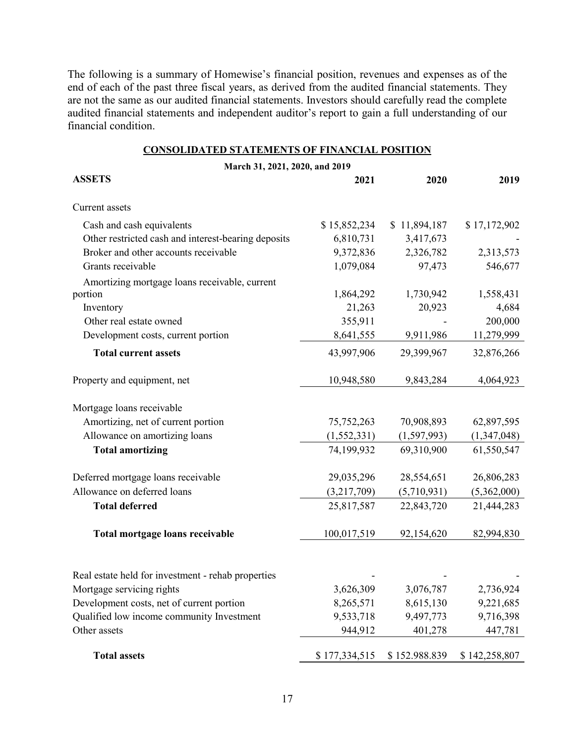The following is a summary of Homewise's financial position, revenues and expenses as of the end of each of the past three fiscal years, as derived from the audited financial statements. They are not the same as our audited financial statements. Investors should carefully read the complete audited financial statements and independent auditor's report to gain a full understanding of our financial condition.

|--|

<span id="page-21-0"></span>

| March 31, 2021, 2020, and 2019                      |               |               |               |  |  |
|-----------------------------------------------------|---------------|---------------|---------------|--|--|
| <b>ASSETS</b>                                       | 2021          | 2020          | 2019          |  |  |
| Current assets                                      |               |               |               |  |  |
| Cash and cash equivalents                           | \$15,852,234  | \$11,894,187  | \$17,172,902  |  |  |
| Other restricted cash and interest-bearing deposits | 6,810,731     | 3,417,673     |               |  |  |
| Broker and other accounts receivable                | 9,372,836     | 2,326,782     | 2,313,573     |  |  |
| Grants receivable                                   | 1,079,084     | 97,473        | 546,677       |  |  |
| Amortizing mortgage loans receivable, current       |               |               |               |  |  |
| portion                                             | 1,864,292     | 1,730,942     | 1,558,431     |  |  |
| Inventory                                           | 21,263        | 20,923        | 4,684         |  |  |
| Other real estate owned                             | 355,911       |               | 200,000       |  |  |
| Development costs, current portion                  | 8,641,555     | 9,911,986     | 11,279,999    |  |  |
| <b>Total current assets</b>                         | 43,997,906    | 29,399,967    | 32,876,266    |  |  |
| Property and equipment, net                         | 10,948,580    | 9,843,284     | 4,064,923     |  |  |
|                                                     |               |               |               |  |  |
| Mortgage loans receivable                           |               |               |               |  |  |
| Amortizing, net of current portion                  | 75, 752, 263  | 70,908,893    | 62,897,595    |  |  |
| Allowance on amortizing loans                       | (1, 552, 331) | (1,597,993)   | (1,347,048)   |  |  |
| <b>Total amortizing</b>                             | 74,199,932    | 69,310,900    | 61,550,547    |  |  |
| Deferred mortgage loans receivable                  | 29,035,296    | 28,554,651    | 26,806,283    |  |  |
| Allowance on deferred loans                         | (3,217,709)   | (5,710,931)   | (5,362,000)   |  |  |
| <b>Total deferred</b>                               | 25,817,587    | 22,843,720    | 21,444,283    |  |  |
| Total mortgage loans receivable                     | 100,017,519   | 92,154,620    | 82,994,830    |  |  |
|                                                     |               |               |               |  |  |
| Real estate held for investment - rehab properties  |               |               |               |  |  |
| Mortgage servicing rights                           | 3,626,309     | 3,076,787     | 2,736,924     |  |  |
| Development costs, net of current portion           | 8,265,571     | 8,615,130     | 9,221,685     |  |  |
| Qualified low income community Investment           | 9,533,718     | 9,497,773     | 9,716,398     |  |  |
| Other assets                                        | 944,912       | 401,278       | 447,781       |  |  |
| <b>Total assets</b>                                 | \$177,334,515 | \$152.988.839 | \$142,258,807 |  |  |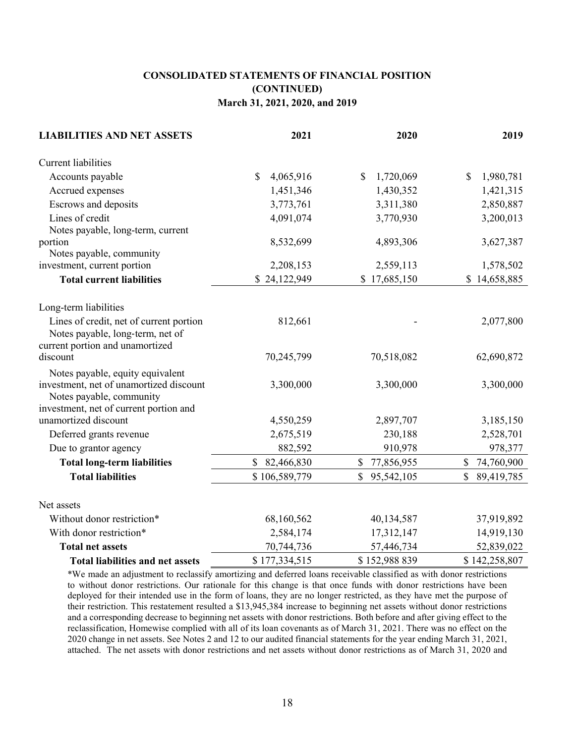## **CONSOLIDATED STATEMENTS OF FINANCIAL POSITION (CONTINUED) March 31, 2021, 2020, and 2019**

| <b>LIABILITIES AND NET ASSETS</b>                                                                              | 2021                       | 2020                       | 2019                       |
|----------------------------------------------------------------------------------------------------------------|----------------------------|----------------------------|----------------------------|
| Current liabilities                                                                                            |                            |                            |                            |
| Accounts payable                                                                                               | \$<br>4,065,916            | 1,720,069<br><sup>\$</sup> | 1,980,781<br><b>S</b>      |
| Accrued expenses                                                                                               | 1,451,346                  | 1,430,352                  | 1,421,315                  |
| Escrows and deposits                                                                                           | 3,773,761                  | 3,311,380                  | 2,850,887                  |
| Lines of credit                                                                                                | 4,091,074                  | 3,770,930                  | 3,200,013                  |
| Notes payable, long-term, current                                                                              |                            |                            |                            |
| portion                                                                                                        | 8,532,699                  | 4,893,306                  | 3,627,387                  |
| Notes payable, community                                                                                       |                            |                            |                            |
| investment, current portion                                                                                    | 2,208,153                  | 2,559,113                  | 1,578,502                  |
| <b>Total current liabilities</b>                                                                               | \$24,122,949               | \$17,685,150               | \$14,658,885               |
| Long-term liabilities                                                                                          |                            |                            |                            |
| Lines of credit, net of current portion<br>Notes payable, long-term, net of<br>current portion and unamortized | 812,661                    |                            | 2,077,800                  |
| discount                                                                                                       | 70,245,799                 | 70,518,082                 | 62,690,872                 |
| Notes payable, equity equivalent<br>investment, net of unamortized discount<br>Notes payable, community        | 3,300,000                  | 3,300,000                  | 3,300,000                  |
| investment, net of current portion and                                                                         |                            |                            |                            |
| unamortized discount                                                                                           | 4,550,259                  | 2,897,707                  | 3,185,150                  |
| Deferred grants revenue                                                                                        | 2,675,519                  | 230,188                    | 2,528,701                  |
| Due to grantor agency                                                                                          | 882,592                    | 910,978                    | 978,377                    |
| <b>Total long-term liabilities</b>                                                                             | $\mathbb{S}$<br>82,466,830 | \$<br>77,856,955           | \$<br>74,760,900           |
| <b>Total liabilities</b>                                                                                       | \$106,589,779              | $\mathbb{S}$<br>95,542,105 | $\mathbb{S}$<br>89,419,785 |
| Net assets                                                                                                     |                            |                            |                            |
| Without donor restriction*                                                                                     | 68,160,562                 | 40,134,587                 | 37,919,892                 |
| With donor restriction*                                                                                        | 2,584,174                  | 17,312,147                 | 14,919,130                 |
| <b>Total net assets</b>                                                                                        | 70,744,736                 | 57,446,734                 | 52,839,022                 |
| <b>Total liabilities and net assets</b>                                                                        | \$177,334,515              | \$152,988 839              | \$142,258,807              |

\*We made an adjustment to reclassify amortizing and deferred loans receivable classified as with donor restrictions to without donor restrictions. Our rationale for this change is that once funds with donor restrictions have been deployed for their intended use in the form of loans, they are no longer restricted, as they have met the purpose of their restriction. This restatement resulted a \$13,945,384 increase to beginning net assets without donor restrictions and a corresponding decrease to beginning net assets with donor restrictions. Both before and after giving effect to the reclassification, Homewise complied with all of its loan covenants as of March 31, 2021. There was no effect on the 2020 change in net assets. See Notes 2 and 12 to our audited financial statements for the year ending March 31, 2021, attached. The net assets with donor restrictions and net assets without donor restrictions as of March 31, 2020 and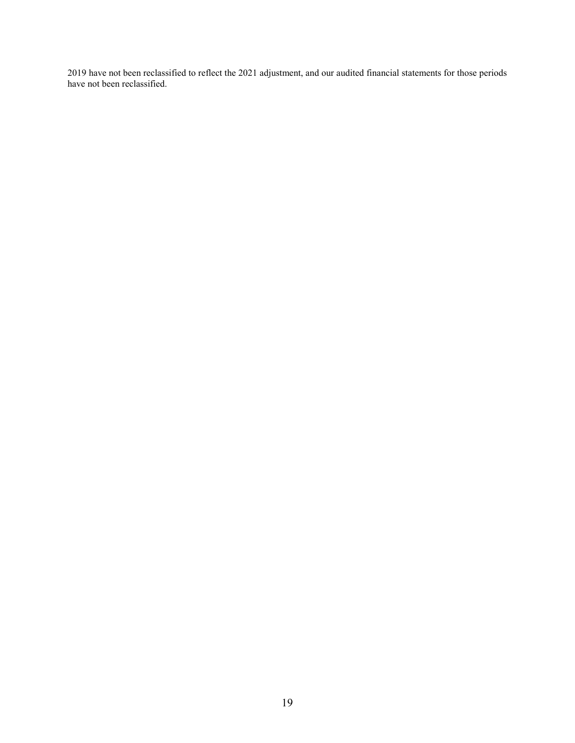2019 have not been reclassified to reflect the 2021 adjustment, and our audited financial statements for those periods have not been reclassified.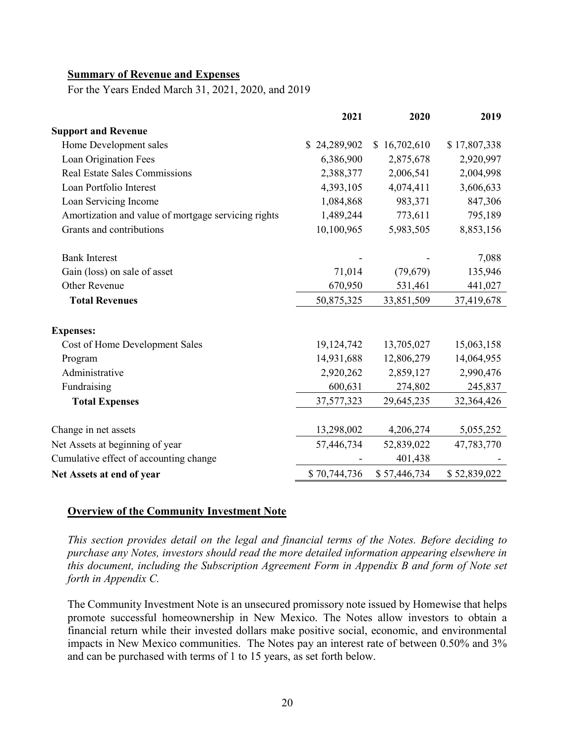#### <span id="page-24-0"></span>**Summary of Revenue and Expenses**

For the Years Ended March 31, 2021, 2020, and 2019

|                                                     | 2021         | 2020             | 2019         |
|-----------------------------------------------------|--------------|------------------|--------------|
| <b>Support and Revenue</b>                          |              |                  |              |
| Home Development sales                              | 24,289,902   | 16,702,610<br>S. | \$17,807,338 |
| Loan Origination Fees                               | 6,386,900    | 2,875,678        | 2,920,997    |
| <b>Real Estate Sales Commissions</b>                | 2,388,377    | 2,006,541        | 2,004,998    |
| Loan Portfolio Interest                             | 4,393,105    | 4,074,411        | 3,606,633    |
| Loan Servicing Income                               | 1,084,868    | 983,371          | 847,306      |
| Amortization and value of mortgage servicing rights | 1,489,244    | 773,611          | 795,189      |
| Grants and contributions                            | 10,100,965   | 5,983,505        | 8,853,156    |
| <b>Bank Interest</b>                                |              |                  | 7,088        |
| Gain (loss) on sale of asset                        | 71,014       | (79, 679)        | 135,946      |
| Other Revenue                                       | 670,950      | 531,461          | 441,027      |
| <b>Total Revenues</b>                               | 50,875,325   | 33,851,509       | 37,419,678   |
| <b>Expenses:</b>                                    |              |                  |              |
| Cost of Home Development Sales                      | 19,124,742   | 13,705,027       | 15,063,158   |
| Program                                             | 14,931,688   | 12,806,279       | 14,064,955   |
| Administrative                                      | 2,920,262    | 2,859,127        | 2,990,476    |
| Fundraising                                         | 600,631      | 274,802          | 245,837      |
| <b>Total Expenses</b>                               | 37,577,323   | 29,645,235       | 32,364,426   |
| Change in net assets                                | 13,298,002   | 4,206,274        | 5,055,252    |
| Net Assets at beginning of year                     | 57,446,734   | 52,839,022       | 47,783,770   |
| Cumulative effect of accounting change              |              | 401,438          |              |
| Net Assets at end of year                           | \$70,744,736 | \$57,446,734     | \$52,839,022 |

#### <span id="page-24-1"></span>**Overview of the Community Investment Note**

*This section provides detail on the legal and financial terms of the Notes. Before deciding to purchase any Notes, investors should read the more detailed information appearing elsewhere in this document, including the Subscription Agreement Form in Appendix B and form of Note set forth in Appendix C.* 

The Community Investment Note is an unsecured promissory note issued by Homewise that helps promote successful homeownership in New Mexico. The Notes allow investors to obtain a financial return while their invested dollars make positive social, economic, and environmental impacts in New Mexico communities. The Notes pay an interest rate of between 0.50% and 3% and can be purchased with terms of 1 to 15 years, as set forth below.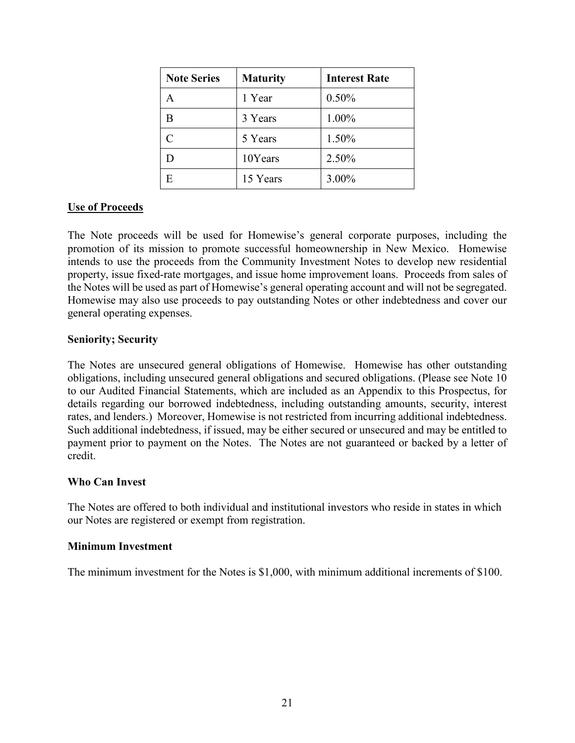| <b>Note Series</b> | <b>Maturity</b> | <b>Interest Rate</b> |
|--------------------|-----------------|----------------------|
| A                  | 1 Year          | 0.50%                |
| В                  | 3 Years         | 1.00%                |
| C                  | 5 Years         | 1.50%                |
|                    | 10Years         | 2.50%                |
|                    | 15 Years        | 3.00%                |

#### <span id="page-25-0"></span>**Use of Proceeds**

The Note proceeds will be used for Homewise's general corporate purposes, including the promotion of its mission to promote successful homeownership in New Mexico. Homewise intends to use the proceeds from the Community Investment Notes to develop new residential property, issue fixed-rate mortgages, and issue home improvement loans. Proceeds from sales of the Notes will be used as part of Homewise's general operating account and will not be segregated. Homewise may also use proceeds to pay outstanding Notes or other indebtedness and cover our general operating expenses.

#### **Seniority; Security**

The Notes are unsecured general obligations of Homewise. Homewise has other outstanding obligations, including unsecured general obligations and secured obligations. (Please see Note 10 to our Audited Financial Statements, which are included as an Appendix to this Prospectus, for details regarding our borrowed indebtedness, including outstanding amounts, security, interest rates, and lenders.) Moreover, Homewise is not restricted from incurring additional indebtedness. Such additional indebtedness, if issued, may be either secured or unsecured and may be entitled to payment prior to payment on the Notes. The Notes are not guaranteed or backed by a letter of credit.

#### **Who Can Invest**

The Notes are offered to both individual and institutional investors who reside in states in which our Notes are registered or exempt from registration.

#### **Minimum Investment**

The minimum investment for the Notes is \$1,000, with minimum additional increments of \$100.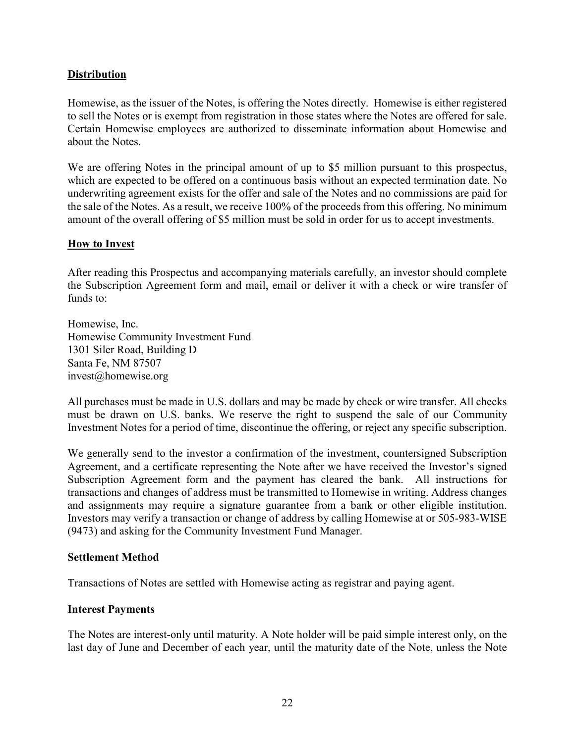## <span id="page-26-0"></span>**Distribution**

Homewise, as the issuer of the Notes, is offering the Notes directly. Homewise is either registered to sell the Notes or is exempt from registration in those states where the Notes are offered for sale. Certain Homewise employees are authorized to disseminate information about Homewise and about the Notes.

We are offering Notes in the principal amount of up to \$5 million pursuant to this prospectus, which are expected to be offered on a continuous basis without an expected termination date. No underwriting agreement exists for the offer and sale of the Notes and no commissions are paid for the sale of the Notes. As a result, we receive 100% of the proceeds from this offering. No minimum amount of the overall offering of \$5 million must be sold in order for us to accept investments.

## <span id="page-26-1"></span>**How to Invest**

After reading this Prospectus and accompanying materials carefully, an investor should complete the Subscription Agreement form and mail, email or deliver it with a check or wire transfer of funds to:

Homewise, Inc. Homewise Community Investment Fund 1301 Siler Road, Building D Santa Fe, NM 87507 invest@homewise.org

All purchases must be made in U.S. dollars and may be made by check or wire transfer. All checks must be drawn on U.S. banks. We reserve the right to suspend the sale of our Community Investment Notes for a period of time, discontinue the offering, or reject any specific subscription.

We generally send to the investor a confirmation of the investment, countersigned Subscription Agreement, and a certificate representing the Note after we have received the Investor's signed Subscription Agreement form and the payment has cleared the bank. All instructions for transactions and changes of address must be transmitted to Homewise in writing. Address changes and assignments may require a signature guarantee from a bank or other eligible institution. Investors may verify a transaction or change of address by calling Homewise at or 505-983-WISE (9473) and asking for the Community Investment Fund Manager.

#### **Settlement Method**

Transactions of Notes are settled with Homewise acting as registrar and paying agent.

#### **Interest Payments**

The Notes are interest-only until maturity. A Note holder will be paid simple interest only, on the last day of June and December of each year, until the maturity date of the Note, unless the Note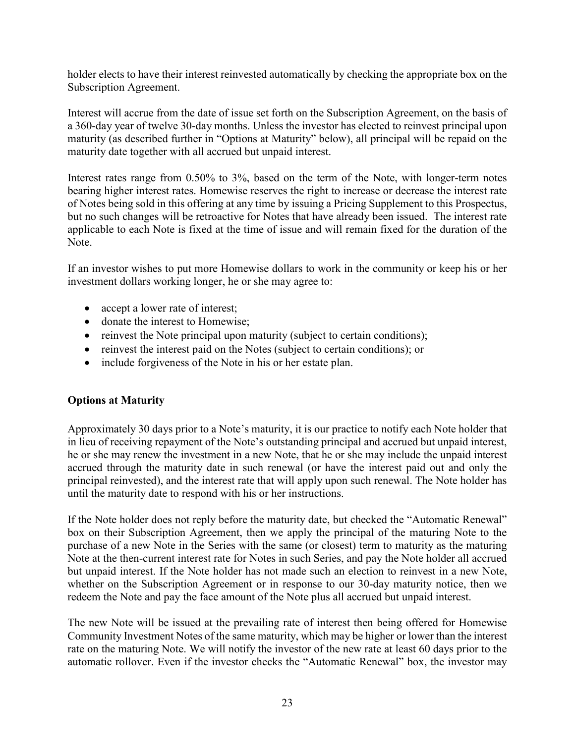holder elects to have their interest reinvested automatically by checking the appropriate box on the Subscription Agreement.

Interest will accrue from the date of issue set forth on the Subscription Agreement, on the basis of a 360-day year of twelve 30-day months. Unless the investor has elected to reinvest principal upon maturity (as described further in "Options at Maturity" below), all principal will be repaid on the maturity date together with all accrued but unpaid interest.

Interest rates range from 0.50% to 3%, based on the term of the Note, with longer-term notes bearing higher interest rates. Homewise reserves the right to increase or decrease the interest rate of Notes being sold in this offering at any time by issuing a Pricing Supplement to this Prospectus, but no such changes will be retroactive for Notes that have already been issued. The interest rate applicable to each Note is fixed at the time of issue and will remain fixed for the duration of the Note.

If an investor wishes to put more Homewise dollars to work in the community or keep his or her investment dollars working longer, he or she may agree to:

- accept a lower rate of interest;
- donate the interest to Homewise:
- reinvest the Note principal upon maturity (subject to certain conditions);
- reinvest the interest paid on the Notes (subject to certain conditions); or
- include forgiveness of the Note in his or her estate plan.

## <span id="page-27-0"></span>**Options at Maturity**

Approximately 30 days prior to a Note's maturity, it is our practice to notify each Note holder that in lieu of receiving repayment of the Note's outstanding principal and accrued but unpaid interest, he or she may renew the investment in a new Note, that he or she may include the unpaid interest accrued through the maturity date in such renewal (or have the interest paid out and only the principal reinvested), and the interest rate that will apply upon such renewal. The Note holder has until the maturity date to respond with his or her instructions.

If the Note holder does not reply before the maturity date, but checked the "Automatic Renewal" box on their Subscription Agreement, then we apply the principal of the maturing Note to the purchase of a new Note in the Series with the same (or closest) term to maturity as the maturing Note at the then-current interest rate for Notes in such Series, and pay the Note holder all accrued but unpaid interest. If the Note holder has not made such an election to reinvest in a new Note, whether on the Subscription Agreement or in response to our 30-day maturity notice, then we redeem the Note and pay the face amount of the Note plus all accrued but unpaid interest.

The new Note will be issued at the prevailing rate of interest then being offered for Homewise Community Investment Notes of the same maturity, which may be higher or lower than the interest rate on the maturing Note. We will notify the investor of the new rate at least 60 days prior to the automatic rollover. Even if the investor checks the "Automatic Renewal" box, the investor may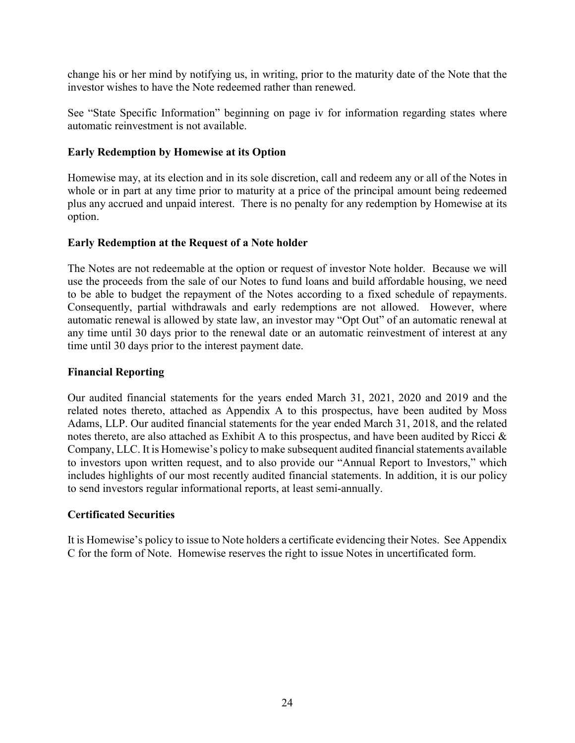change his or her mind by notifying us, in writing, prior to the maturity date of the Note that the investor wishes to have the Note redeemed rather than renewed.

See "State Specific Information" beginning on page [iv](#page-3-0) for information regarding states where automatic reinvestment is not available.

#### **Early Redemption by Homewise at its Option**

Homewise may, at its election and in its sole discretion, call and redeem any or all of the Notes in whole or in part at any time prior to maturity at a price of the principal amount being redeemed plus any accrued and unpaid interest. There is no penalty for any redemption by Homewise at its option.

## **Early Redemption at the Request of a Note holder**

The Notes are not redeemable at the option or request of investor Note holder. Because we will use the proceeds from the sale of our Notes to fund loans and build affordable housing, we need to be able to budget the repayment of the Notes according to a fixed schedule of repayments. Consequently, partial withdrawals and early redemptions are not allowed. However, where automatic renewal is allowed by state law, an investor may "Opt Out" of an automatic renewal at any time until 30 days prior to the renewal date or an automatic reinvestment of interest at any time until 30 days prior to the interest payment date.

#### **Financial Reporting**

Our audited financial statements for the years ended March 31, 2021, 2020 and 2019 and the related notes thereto, attached as Appendix A to this prospectus, have been audited by Moss Adams, LLP. Our audited financial statements for the year ended March 31, 2018, and the related notes thereto, are also attached as Exhibit A to this prospectus, and have been audited by Ricci & Company, LLC. It is Homewise's policy to make subsequent audited financial statements available to investors upon written request, and to also provide our "Annual Report to Investors," which includes highlights of our most recently audited financial statements. In addition, it is our policy to send investors regular informational reports, at least semi-annually.

#### **Certificated Securities**

It is Homewise's policy to issue to Note holders a certificate evidencing their Notes. See Appendix C for the form of Note. Homewise reserves the right to issue Notes in uncertificated form.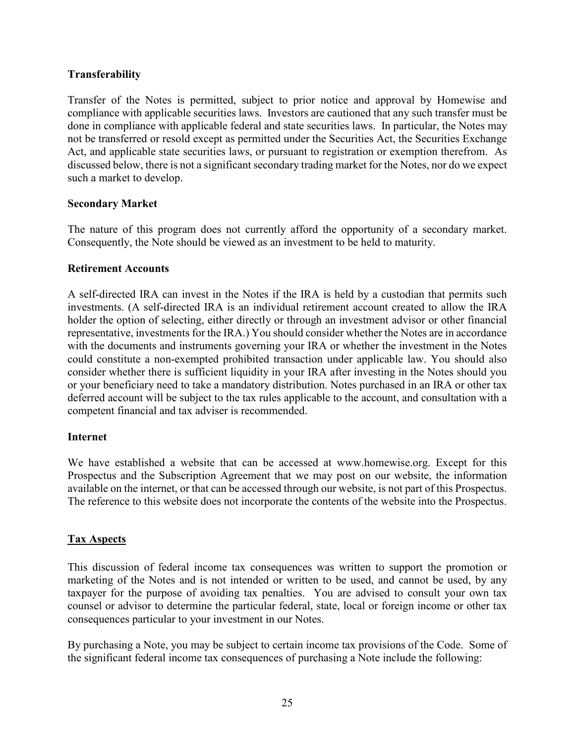## **Transferability**

Transfer of the Notes is permitted, subject to prior notice and approval by Homewise and compliance with applicable securities laws. Investors are cautioned that any such transfer must be done in compliance with applicable federal and state securities laws. In particular, the Notes may not be transferred or resold except as permitted under the Securities Act, the Securities Exchange Act, and applicable state securities laws, or pursuant to registration or exemption therefrom. As discussed below, there is not a significant secondary trading market for the Notes, nor do we expect such a market to develop.

## **Secondary Market**

The nature of this program does not currently afford the opportunity of a secondary market. Consequently, the Note should be viewed as an investment to be held to maturity.

## **Retirement Accounts**

A self-directed IRA can invest in the Notes if the IRA is held by a custodian that permits such investments. (A self-directed IRA is an individual retirement account created to allow the IRA holder the option of selecting, either directly or through an investment advisor or other financial representative, investments for the IRA.) You should consider whether the Notes are in accordance with the documents and instruments governing your IRA or whether the investment in the Notes could constitute a non-exempted prohibited transaction under applicable law. You should also consider whether there is sufficient liquidity in your IRA after investing in the Notes should you or your beneficiary need to take a mandatory distribution. Notes purchased in an IRA or other tax deferred account will be subject to the tax rules applicable to the account, and consultation with a competent financial and tax adviser is recommended.

## **Internet**

We have established a website that can be accessed at www.homewise.org. Except for this Prospectus and the Subscription Agreement that we may post on our website, the information available on the internet, or that can be accessed through our website, is not part of this Prospectus. The reference to this website does not incorporate the contents of the website into the Prospectus.

## **Tax Aspects**

This discussion of federal income tax consequences was written to support the promotion or marketing of the Notes and is not intended or written to be used, and cannot be used, by any taxpayer for the purpose of avoiding tax penalties. You are advised to consult your own tax counsel or advisor to determine the particular federal, state, local or foreign income or other tax consequences particular to your investment in our Notes.

By purchasing a Note, you may be subject to certain income tax provisions of the Code. Some of the significant federal income tax consequences of purchasing a Note include the following: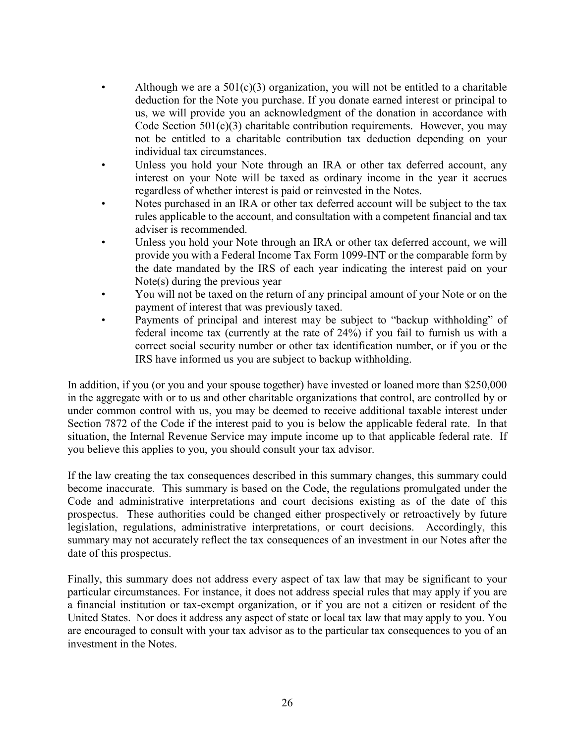- Although we are a  $501(c)(3)$  organization, you will not be entitled to a charitable deduction for the Note you purchase. If you donate earned interest or principal to us, we will provide you an acknowledgment of the donation in accordance with Code Section  $501(c)(3)$  charitable contribution requirements. However, you may not be entitled to a charitable contribution tax deduction depending on your individual tax circumstances.
- Unless you hold your Note through an IRA or other tax deferred account, any interest on your Note will be taxed as ordinary income in the year it accrues regardless of whether interest is paid or reinvested in the Notes.
- Notes purchased in an IRA or other tax deferred account will be subject to the tax rules applicable to the account, and consultation with a competent financial and tax adviser is recommended.
- Unless you hold your Note through an IRA or other tax deferred account, we will provide you with a Federal Income Tax Form 1099-INT or the comparable form by the date mandated by the IRS of each year indicating the interest paid on your Note(s) during the previous year
- You will not be taxed on the return of any principal amount of your Note or on the payment of interest that was previously taxed.
- Payments of principal and interest may be subject to "backup withholding" of federal income tax (currently at the rate of 24%) if you fail to furnish us with a correct social security number or other tax identification number, or if you or the IRS have informed us you are subject to backup withholding.

In addition, if you (or you and your spouse together) have invested or loaned more than \$250,000 in the aggregate with or to us and other charitable organizations that control, are controlled by or under common control with us, you may be deemed to receive additional taxable interest under Section 7872 of the Code if the interest paid to you is below the applicable federal rate. In that situation, the Internal Revenue Service may impute income up to that applicable federal rate. If you believe this applies to you, you should consult your tax advisor.

If the law creating the tax consequences described in this summary changes, this summary could become inaccurate. This summary is based on the Code, the regulations promulgated under the Code and administrative interpretations and court decisions existing as of the date of this prospectus. These authorities could be changed either prospectively or retroactively by future legislation, regulations, administrative interpretations, or court decisions. Accordingly, this summary may not accurately reflect the tax consequences of an investment in our Notes after the date of this prospectus.

Finally, this summary does not address every aspect of tax law that may be significant to your particular circumstances. For instance, it does not address special rules that may apply if you are a financial institution or tax-exempt organization, or if you are not a citizen or resident of the United States. Nor does it address any aspect of state or local tax law that may apply to you. You are encouraged to consult with your tax advisor as to the particular tax consequences to you of an investment in the Notes.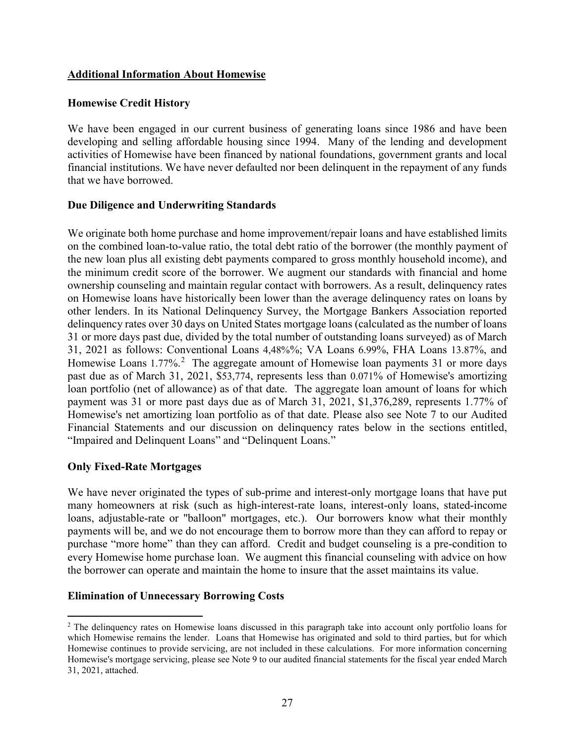## <span id="page-31-0"></span>**Additional Information About Homewise**

## **Homewise Credit History**

We have been engaged in our current business of generating loans since 1986 and have been developing and selling affordable housing since 1994. Many of the lending and development activities of Homewise have been financed by national foundations, government grants and local financial institutions. We have never defaulted nor been delinquent in the repayment of any funds that we have borrowed.

## <span id="page-31-1"></span>**Due Diligence and Underwriting Standards**

We originate both home purchase and home improvement/repair loans and have established limits on the combined loan-to-value ratio, the total debt ratio of the borrower (the monthly payment of the new loan plus all existing debt payments compared to gross monthly household income), and the minimum credit score of the borrower. We augment our standards with financial and home ownership counseling and maintain regular contact with borrowers. As a result, delinquency rates on Homewise loans have historically been lower than the average delinquency rates on loans by other lenders. In its National Delinquency Survey, the Mortgage Bankers Association reported delinquency rates over 30 days on United States mortgage loans (calculated as the number of loans 31 or more days past due, divided by the total number of outstanding loans surveyed) as of March 31, 2021 as follows: Conventional Loans 4,48%%; VA Loans 6.99%, FHA Loans 13.87%, and Homewise Loans 1.77%.<sup>[2](#page-31-2)</sup> The aggregate amount of Homewise loan payments 31 or more days past due as of March 31, 2021, \$53,774, represents less than 0.071% of Homewise's amortizing loan portfolio (net of allowance) as of that date. The aggregate loan amount of loans for which payment was 31 or more past days due as of March 31, 2021, \$1,376,289, represents 1.77% of Homewise's net amortizing loan portfolio as of that date. Please also see Note 7 to our Audited Financial Statements and our discussion on delinquency rates below in the sections entitled, "Impaired and Delinquent Loans" and "Delinquent Loans."

## **Only Fixed-Rate Mortgages**

We have never originated the types of sub-prime and interest-only mortgage loans that have put many homeowners at risk (such as high-interest-rate loans, interest-only loans, stated-income loans, adjustable-rate or "balloon" mortgages, etc.). Our borrowers know what their monthly payments will be, and we do not encourage them to borrow more than they can afford to repay or purchase "more home" than they can afford. Credit and budget counseling is a pre-condition to every Homewise home purchase loan. We augment this financial counseling with advice on how the borrower can operate and maintain the home to insure that the asset maintains its value.

## **Elimination of Unnecessary Borrowing Costs**

<span id="page-31-2"></span><sup>&</sup>lt;sup>2</sup> The delinquency rates on Homewise loans discussed in this paragraph take into account only portfolio loans for which Homewise remains the lender. Loans that Homewise has originated and sold to third parties, but for which Homewise continues to provide servicing, are not included in these calculations. For more information concerning Homewise's mortgage servicing, please see Note 9 to our audited financial statements for the fiscal year ended March 31, 2021, attached.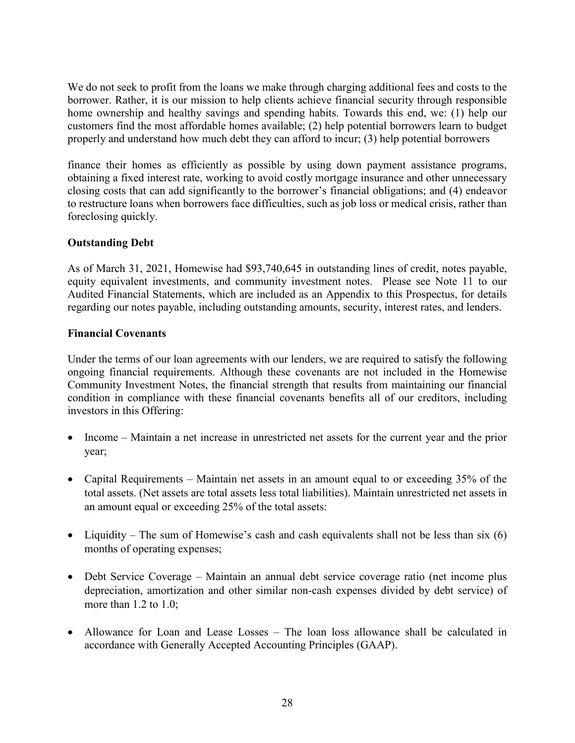We do not seek to profit from the loans we make through charging additional fees and costs to the borrower. Rather, it is our mission to help clients achieve financial security through responsible home ownership and healthy savings and spending habits. Towards this end, we: (1) help our customers find the most affordable homes available; (2) help potential borrowers learn to budget properly and understand how much debt they can afford to incur; (3) help potential borrowers

finance their homes as efficiently as possible by using down payment assistance programs, obtaining a fixed interest rate, working to avoid costly mortgage insurance and other unnecessary closing costs that can add significantly to the borrower's financial obligations; and (4) endeavor to restructure loans when borrowers face difficulties, such as job loss or medical crisis, rather than foreclosing quickly.

# **Outstanding Debt**

As of March 31, 2021, Homewise had \$93,740,645 in outstanding lines of credit, notes payable, equity equivalent investments, and community investment notes. Please see Note 11 to our Audited Financial Statements, which are included as an Appendix to this Prospectus, for details regarding our notes payable, including outstanding amounts, security, interest rates, and lenders.

## **Financial Covenants**

Under the terms of our loan agreements with our lenders, we are required to satisfy the following ongoing financial requirements. Although these covenants are not included in the Homewise Community Investment Notes, the financial strength that results from maintaining our financial condition in compliance with these financial covenants benefits all of our creditors, including investors in this Offering:

- Income Maintain a net increase in unrestricted net assets for the current year and the prior year;
- Capital Requirements Maintain net assets in an amount equal to or exceeding 35% of the total assets. (Net assets are total assets less total liabilities). Maintain unrestricted net assets in an amount equal or exceeding 25% of the total assets:
- Liquidity The sum of Homewise's cash and cash equivalents shall not be less than six  $(6)$ months of operating expenses;
- Debt Service Coverage Maintain an annual debt service coverage ratio (net income plus depreciation, amortization and other similar non-cash expenses divided by debt service) of more than 1.2 to 1.0;
- Allowance for Loan and Lease Losses The loan loss allowance shall be calculated in accordance with Generally Accepted Accounting Principles (GAAP).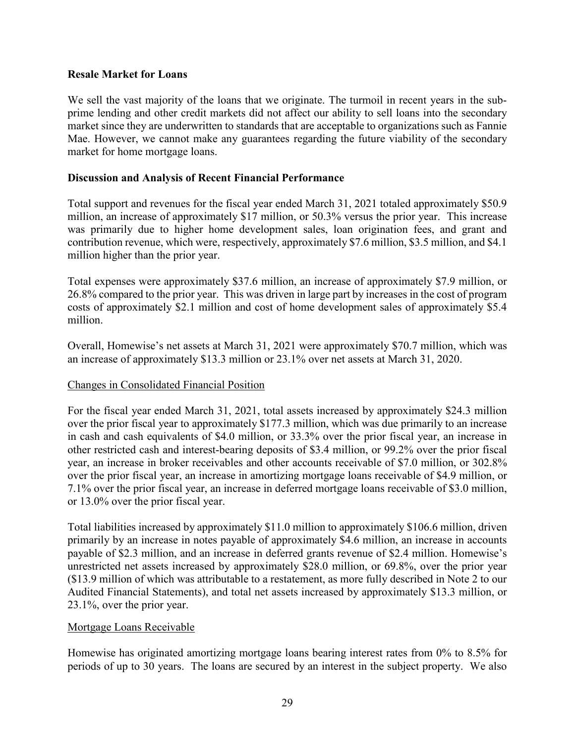## **Resale Market for Loans**

We sell the vast majority of the loans that we originate. The turmoil in recent years in the subprime lending and other credit markets did not affect our ability to sell loans into the secondary market since they are underwritten to standards that are acceptable to organizations such as Fannie Mae. However, we cannot make any guarantees regarding the future viability of the secondary market for home mortgage loans.

## **Discussion and Analysis of Recent Financial Performance**

Total support and revenues for the fiscal year ended March 31, 2021 totaled approximately \$50.9 million, an increase of approximately \$17 million, or 50.3% versus the prior year. This increase was primarily due to higher home development sales, loan origination fees, and grant and contribution revenue, which were, respectively, approximately \$7.6 million, \$3.5 million, and \$4.1 million higher than the prior year.

Total expenses were approximately \$37.6 million, an increase of approximately \$7.9 million, or 26.8% compared to the prior year. This was driven in large part by increases in the cost of program costs of approximately \$2.1 million and cost of home development sales of approximately \$5.4 million.

Overall, Homewise's net assets at March 31, 2021 were approximately \$70.7 million, which was an increase of approximately \$13.3 million or 23.1% over net assets at March 31, 2020.

#### Changes in Consolidated Financial Position

For the fiscal year ended March 31, 2021, total assets increased by approximately \$24.3 million over the prior fiscal year to approximately \$177.3 million, which was due primarily to an increase in cash and cash equivalents of \$4.0 million, or 33.3% over the prior fiscal year, an increase in other restricted cash and interest-bearing deposits of \$3.4 million, or 99.2% over the prior fiscal year, an increase in broker receivables and other accounts receivable of \$7.0 million, or 302.8% over the prior fiscal year, an increase in amortizing mortgage loans receivable of \$4.9 million, or 7.1% over the prior fiscal year, an increase in deferred mortgage loans receivable of \$3.0 million, or 13.0% over the prior fiscal year.

Total liabilities increased by approximately \$11.0 million to approximately \$106.6 million, driven primarily by an increase in notes payable of approximately \$4.6 million, an increase in accounts payable of \$2.3 million, and an increase in deferred grants revenue of \$2.4 million. Homewise's unrestricted net assets increased by approximately \$28.0 million, or 69.8%, over the prior year (\$13.9 million of which was attributable to a restatement, as more fully described in Note 2 to our Audited Financial Statements), and total net assets increased by approximately \$13.3 million, or 23.1%, over the prior year.

#### Mortgage Loans Receivable

Homewise has originated amortizing mortgage loans bearing interest rates from 0% to 8.5% for periods of up to 30 years. The loans are secured by an interest in the subject property. We also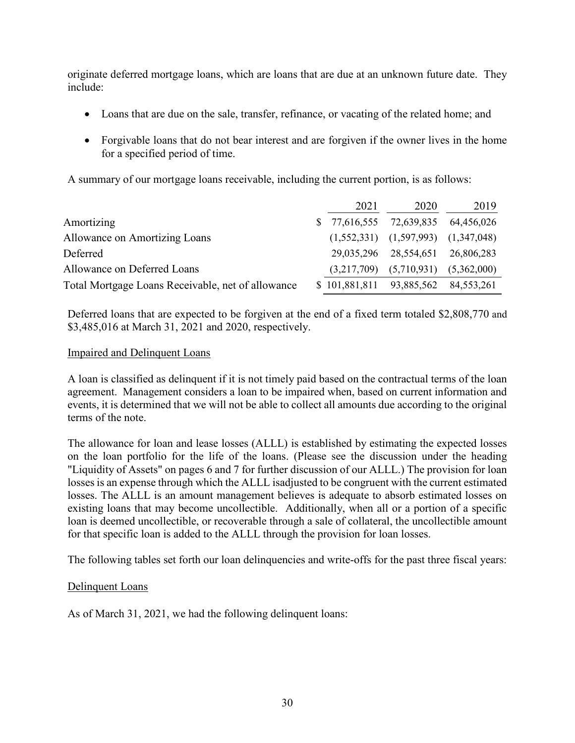originate deferred mortgage loans, which are loans that are due at an unknown future date. They include:

- Loans that are due on the sale, transfer, refinance, or vacating of the related home; and
- Forgivable loans that do not bear interest and are forgiven if the owner lives in the home for a specified period of time.

A summary of our mortgage loans receivable, including the current portion, is as follows:

|                                                   | 2021 | 2020                                      | 2019        |
|---------------------------------------------------|------|-------------------------------------------|-------------|
| Amortizing                                        |      | $$77,616,555$ $72,639,835$ $64,456,026$   |             |
| <b>Allowance on Amortizing Loans</b>              |      | $(1,552,331)$ $(1,597,993)$ $(1,347,048)$ |             |
| Deferred                                          |      | 29,035,296 28,554,651 26,806,283          |             |
| Allowance on Deferred Loans                       |      | $(3,217,709)$ $(5,710,931)$               | (5,362,000) |
| Total Mortgage Loans Receivable, net of allowance |      | \$101,881,811 93,885,562 84,553,261       |             |

Deferred loans that are expected to be forgiven at the end of a fixed term totaled \$2,808,770 and \$3,485,016 at March 31, 2021 and 2020, respectively.

## Impaired and Delinquent Loans

A loan is classified as delinquent if it is not timely paid based on the contractual terms of the loan agreement. Management considers a loan to be impaired when, based on current information and events, it is determined that we will not be able to collect all amounts due according to the original terms of the note.

The allowance for loan and lease losses (ALLL) is established by estimating the expected losses on the loan portfolio for the life of the loans. (Please see the discussion under the heading "Liquidity of Assets" on pages 6 and 7 for further discussion of our ALLL.) The provision for loan losses is an expense through which the ALLL isadjusted to be congruent with the current estimated losses. The ALLL is an amount management believes is adequate to absorb estimated losses on existing loans that may become uncollectible. Additionally, when all or a portion of a specific loan is deemed uncollectible, or recoverable through a sale of collateral, the uncollectible amount for that specific loan is added to the ALLL through the provision for loan losses.

The following tables set forth our loan delinquencies and write-offs for the past three fiscal years:

## Delinquent Loans

As of March 31, 2021, we had the following delinquent loans: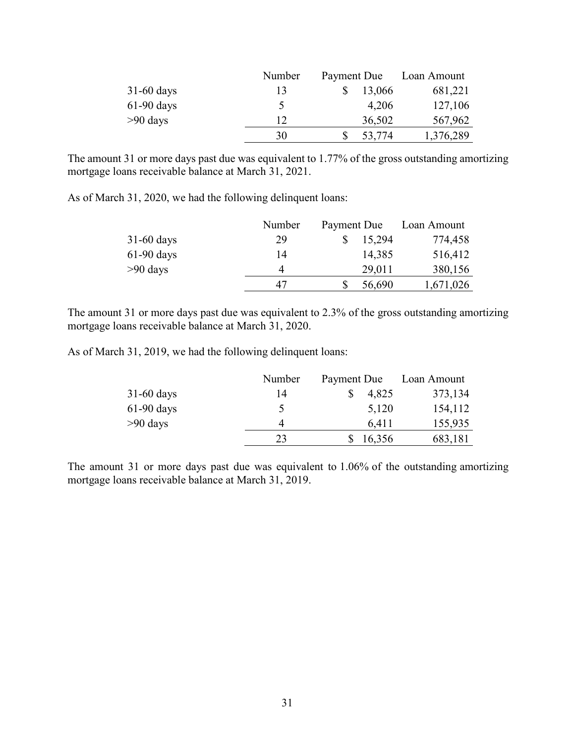|              | Number | Payment Due |        |           |  | Loan Amount |
|--------------|--------|-------------|--------|-----------|--|-------------|
| $31-60$ days | 13     |             | 13,066 | 681,221   |  |             |
| $61-90$ days | ৲      |             | 4,206  | 127,106   |  |             |
| $>90$ days   | 12     |             | 36,502 | 567,962   |  |             |
|              | 30     |             | 53,774 | 1,376,289 |  |             |

The amount 31 or more days past due was equivalent to 1.77% of the gross outstanding amortizing mortgage loans receivable balance at March 31, 2021.

As of March 31, 2020, we had the following delinquent loans:

|              | Number | Payment Due |        | Loan Amount |
|--------------|--------|-------------|--------|-------------|
| $31-60$ days | 29     |             | 15,294 | 774,458     |
| $61-90$ days | 14     |             | 14,385 | 516,412     |
| $>90$ days   | 4      |             | 29,011 | 380,156     |
|              | 47     |             | 56,690 | 1,671,026   |

The amount 31 or more days past due was equivalent to 2.3% of the gross outstanding amortizing mortgage loans receivable balance at March 31, 2020.

As of March 31, 2019, we had the following delinquent loans:

|              | Number | Payment Due | Loan Amount |
|--------------|--------|-------------|-------------|
| $31-60$ days | 14     | 4,825       | 373,134     |
| $61-90$ days | ↖      | 5,120       | 154,112     |
| $>90$ days   | 4      | 6,411       | 155,935     |
|              | 23     | 16,356      | 683,181     |

The amount 31 or more days past due was equivalent to 1.06% of the outstanding amortizing mortgage loans receivable balance at March 31, 2019.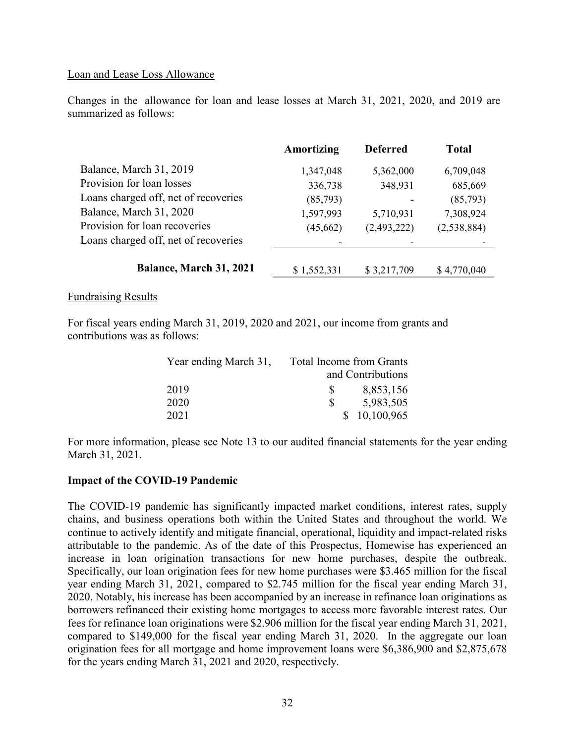#### Loan and Lease Loss Allowance

Changes in the allowance for loan and lease losses at March 31, 2021, 2020, and 2019 are summarized as follows:

|                                      | Amortizing  | <b>Deferred</b> | <b>Total</b> |
|--------------------------------------|-------------|-----------------|--------------|
| Balance, March 31, 2019              | 1,347,048   | 5,362,000       | 6,709,048    |
| Provision for loan losses            | 336,738     | 348,931         | 685,669      |
| Loans charged off, net of recoveries | (85,793)    |                 | (85,793)     |
| Balance, March 31, 2020              | 1,597,993   | 5,710,931       | 7,308,924    |
| Provision for loan recoveries        | (45,662)    | (2,493,222)     | (2,538,884)  |
| Loans charged off, net of recoveries |             |                 |              |
| Balance, March 31, 2021              | \$1,552,331 | \$3,217,709     | \$4,770,040  |

#### Fundraising Results

For fiscal years ending March 31, 2019, 2020 and 2021, our income from grants and contributions was as follows:

| Year ending March 31, | <b>Total Income from Grants</b> |                   |
|-----------------------|---------------------------------|-------------------|
|                       |                                 | and Contributions |
| 2019                  | S                               | 8,853,156         |
| 2020                  | -S                              | 5,983,505         |
| 2021                  |                                 | \$10,100,965      |

For more information, please see Note 13 to our audited financial statements for the year ending March 31, 2021.

#### **Impact of the COVID-19 Pandemic**

The COVID-19 pandemic has significantly impacted market conditions, interest rates, supply chains, and business operations both within the United States and throughout the world. We continue to actively identify and mitigate financial, operational, liquidity and impact-related risks attributable to the pandemic. As of the date of this Prospectus, Homewise has experienced an increase in loan origination transactions for new home purchases, despite the outbreak. Specifically, our loan origination fees for new home purchases were \$3.465 million for the fiscal year ending March 31, 2021, compared to \$2.745 million for the fiscal year ending March 31, 2020. Notably, his increase has been accompanied by an increase in refinance loan originations as borrowers refinanced their existing home mortgages to access more favorable interest rates. Our fees for refinance loan originations were \$2.906 million for the fiscal year ending March 31, 2021, compared to \$149,000 for the fiscal year ending March 31, 2020. In the aggregate our loan origination fees for all mortgage and home improvement loans were \$6,386,900 and \$2,875,678 for the years ending March 31, 2021 and 2020, respectively.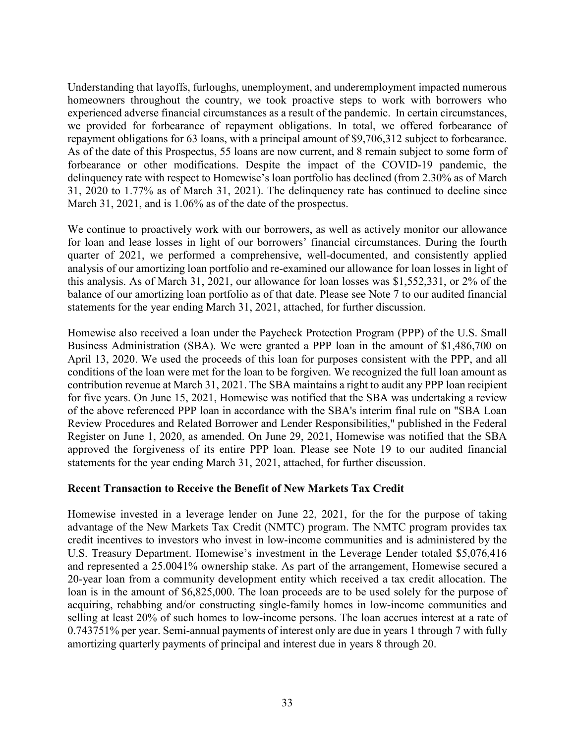Understanding that layoffs, furloughs, unemployment, and underemployment impacted numerous homeowners throughout the country, we took proactive steps to work with borrowers who experienced adverse financial circumstances as a result of the pandemic. In certain circumstances, we provided for forbearance of repayment obligations. In total, we offered forbearance of repayment obligations for 63 loans, with a principal amount of \$9,706,312 subject to forbearance. As of the date of this Prospectus, 55 loans are now current, and 8 remain subject to some form of forbearance or other modifications. Despite the impact of the COVID-19 pandemic, the delinquency rate with respect to Homewise's loan portfolio has declined (from 2.30% as of March 31, 2020 to 1.77% as of March 31, 2021). The delinquency rate has continued to decline since March 31, 2021, and is 1.06% as of the date of the prospectus.

We continue to proactively work with our borrowers, as well as actively monitor our allowance for loan and lease losses in light of our borrowers' financial circumstances. During the fourth quarter of 2021, we performed a comprehensive, well-documented, and consistently applied analysis of our amortizing loan portfolio and re-examined our allowance for loan losses in light of this analysis. As of March 31, 2021, our allowance for loan losses was \$1,552,331, or 2% of the balance of our amortizing loan portfolio as of that date. Please see Note 7 to our audited financial statements for the year ending March 31, 2021, attached, for further discussion.

Homewise also received a loan under the Paycheck Protection Program (PPP) of the U.S. Small Business Administration (SBA). We were granted a PPP loan in the amount of \$1,486,700 on April 13, 2020. We used the proceeds of this loan for purposes consistent with the PPP, and all conditions of the loan were met for the loan to be forgiven. We recognized the full loan amount as contribution revenue at March 31, 2021. The SBA maintains a right to audit any PPP loan recipient for five years. On June 15, 2021, Homewise was notified that the SBA was undertaking a review of the above referenced PPP loan in accordance with the SBA's interim final rule on "SBA Loan Review Procedures and Related Borrower and Lender Responsibilities," published in the Federal Register on June 1, 2020, as amended. On June 29, 2021, Homewise was notified that the SBA approved the forgiveness of its entire PPP loan. Please see Note 19 to our audited financial statements for the year ending March 31, 2021, attached, for further discussion.

#### **Recent Transaction to Receive the Benefit of New Markets Tax Credit**

Homewise invested in a leverage lender on June 22, 2021, for the for the purpose of taking advantage of the New Markets Tax Credit (NMTC) program. The NMTC program provides tax credit incentives to investors who invest in low-income communities and is administered by the U.S. Treasury Department. Homewise's investment in the Leverage Lender totaled \$5,076,416 and represented a 25.0041% ownership stake. As part of the arrangement, Homewise secured a 20-year loan from a community development entity which received a tax credit allocation. The loan is in the amount of \$6,825,000. The loan proceeds are to be used solely for the purpose of acquiring, rehabbing and/or constructing single-family homes in low-income communities and selling at least 20% of such homes to low-income persons. The loan accrues interest at a rate of 0.743751% per year. Semi-annual payments of interest only are due in years 1 through 7 with fully amortizing quarterly payments of principal and interest due in years 8 through 20.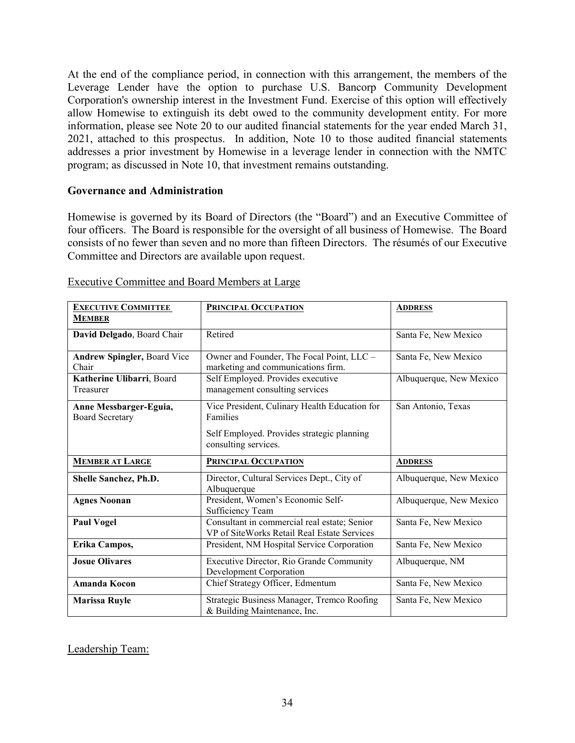At the end of the compliance period, in connection with this arrangement, the members of the Leverage Lender have the option to purchase U.S. Bancorp Community Development Corporation's ownership interest in the Investment Fund. Exercise of this option will effectively allow Homewise to extinguish its debt owed to the community development entity. For more information, please see Note 20 to our audited financial statements for the year ended March 31, 2021, attached to this prospectus. In addition, Note 10 to those audited financial statements addresses a prior investment by Homewise in a leverage lender in connection with the NMTC program; as discussed in Note 10, that investment remains outstanding.

#### **Governance and Administration**

Homewise is governed by its Board of Directors (the "Board") and an Executive Committee of four officers. The Board is responsible for the oversight of all business of Homewise. The Board consists of no fewer than seven and no more than fifteen Directors. The résumés of our Executive Committee and Directors are available upon request.

| <b>EXECUTIVE COMMITTEE</b>         | <b>PRINCIPAL OCCUPATION</b>                   | <b>ADDRESS</b>          |
|------------------------------------|-----------------------------------------------|-------------------------|
| <b>MEMBER</b>                      |                                               |                         |
| David Delgado, Board Chair         | Retired                                       | Santa Fe, New Mexico    |
|                                    |                                               |                         |
| <b>Andrew Spingler, Board Vice</b> | Owner and Founder, The Focal Point, LLC -     | Santa Fe, New Mexico    |
| Chair                              | marketing and communications firm.            |                         |
| Katherine Ulibarri, Board          | Self Employed. Provides executive             | Albuquerque, New Mexico |
| Treasurer                          | management consulting services                |                         |
| Anne Messbarger-Eguia,             | Vice President, Culinary Health Education for | San Antonio, Texas      |
| <b>Board Secretary</b>             | Families                                      |                         |
|                                    | Self Employed. Provides strategic planning    |                         |
|                                    | consulting services.                          |                         |
|                                    |                                               |                         |
|                                    |                                               |                         |
| <b>MEMBER AT LARGE</b>             | <b>PRINCIPAL OCCUPATION</b>                   | <b>ADDRESS</b>          |
| Shelle Sanchez, Ph.D.              | Director, Cultural Services Dept., City of    | Albuquerque, New Mexico |
|                                    | Albuquerque                                   |                         |
| <b>Agnes Noonan</b>                | President, Women's Economic Self-             | Albuquerque, New Mexico |
|                                    | Sufficiency Team                              |                         |
| <b>Paul Vogel</b>                  | Consultant in commercial real estate; Senior  | Santa Fe, New Mexico    |
|                                    | VP of SiteWorks Retail Real Estate Services   |                         |
| Erika Campos,                      | President, NM Hospital Service Corporation    | Santa Fe, New Mexico    |
| <b>Josue Olivares</b>              | Executive Director, Rio Grande Community      | Albuquerque, NM         |
|                                    | Development Corporation                       |                         |
| <b>Amanda Kocon</b>                | Chief Strategy Officer, Edmentum              | Santa Fe, New Mexico    |
| <b>Marissa Ruyle</b>               | Strategic Business Manager, Tremco Roofing    | Santa Fe, New Mexico    |

#### Executive Committee and Board Members at Large

Leadership Team: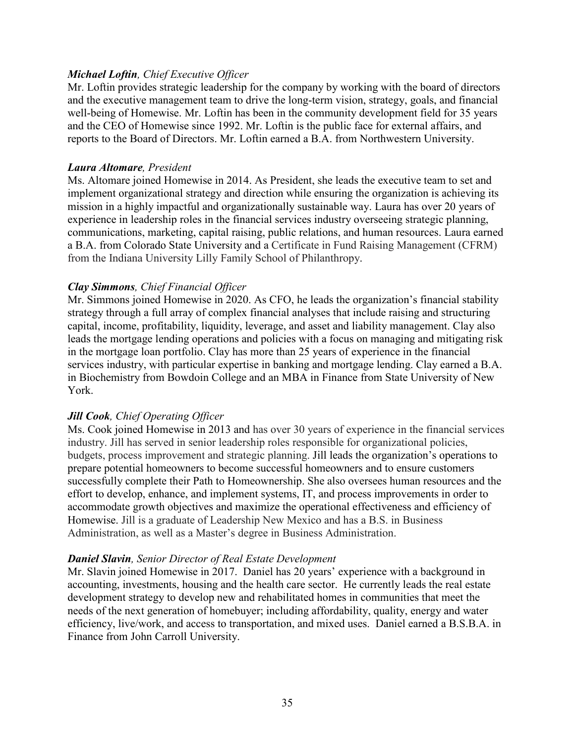## *Michael Loftin, Chief Executive Officer*

Mr. Loftin provides strategic leadership for the company by working with the board of directors and the executive management team to drive the long-term vision, strategy, goals, and financial well-being of Homewise. Mr. Loftin has been in the community development field for 35 years and the CEO of Homewise since 1992. Mr. Loftin is the public face for external affairs, and reports to the Board of Directors. Mr. Loftin earned a B.A. from Northwestern University.

#### *Laura Altomare, President*

Ms. Altomare joined Homewise in 2014. As President, she leads the executive team to set and implement organizational strategy and direction while ensuring the organization is achieving its mission in a highly impactful and organizationally sustainable way. Laura has over 20 years of experience in leadership roles in the financial services industry overseeing strategic planning, communications, marketing, capital raising, public relations, and human resources. Laura earned a B.A. from Colorado State University and a Certificate in Fund Raising Management (CFRM) from the Indiana University Lilly Family School of Philanthropy.

## *Clay Simmons, Chief Financial Officer*

Mr. Simmons joined Homewise in 2020. As CFO, he leads the organization's financial stability strategy through a full array of complex financial analyses that include raising and structuring capital, income, profitability, liquidity, leverage, and asset and liability management. Clay also leads the mortgage lending operations and policies with a focus on managing and mitigating risk in the mortgage loan portfolio. Clay has more than 25 years of experience in the financial services industry, with particular expertise in banking and mortgage lending. Clay earned a B.A. in Biochemistry from Bowdoin College and an MBA in Finance from State University of New York.

## *Jill Cook, Chief Operating Officer*

Ms. Cook joined Homewise in 2013 and has over 30 years of experience in the financial services industry. Jill has served in senior leadership roles responsible for organizational policies, budgets, process improvement and strategic planning. Jill leads the organization's operations to prepare potential homeowners to become successful homeowners and to ensure customers successfully complete their Path to Homeownership. She also oversees human resources and the effort to develop, enhance, and implement systems, IT, and process improvements in order to accommodate growth objectives and maximize the operational effectiveness and efficiency of Homewise. Jill is a graduate of Leadership New Mexico and has a B.S. in Business Administration, as well as a Master's degree in Business Administration.

#### *Daniel Slavin, Senior Director of Real Estate Development*

Mr. Slavin joined Homewise in 2017. Daniel has 20 years' experience with a background in accounting, investments, housing and the health care sector. He currently leads the real estate development strategy to develop new and rehabilitated homes in communities that meet the needs of the next generation of homebuyer; including affordability, quality, energy and water efficiency, live/work, and access to transportation, and mixed uses. Daniel earned a B.S.B.A. in Finance from John Carroll University.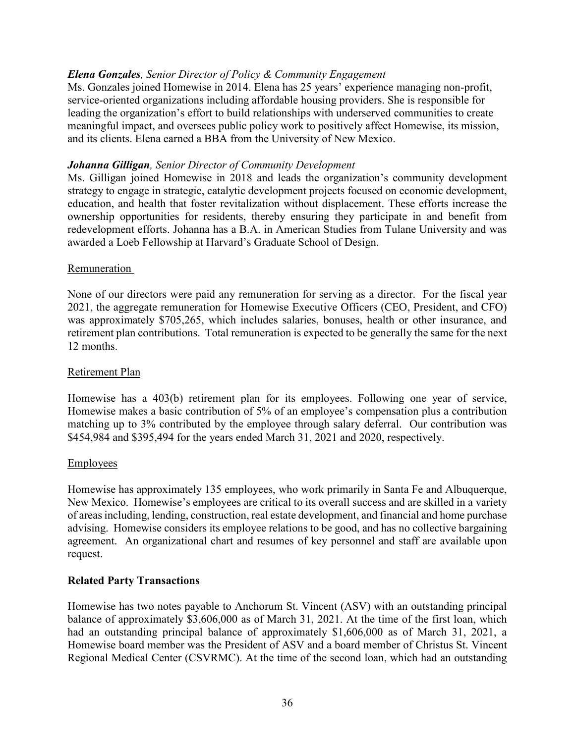## *Elena Gonzales, Senior Director of Policy & Community Engagement*

Ms. Gonzales joined Homewise in 2014. Elena has 25 years' experience managing non-profit, service-oriented organizations including affordable housing providers. She is responsible for leading the organization's effort to build relationships with underserved communities to create meaningful impact, and oversees public policy work to positively affect Homewise, its mission, and its clients. Elena earned a BBA from the University of New Mexico.

#### *Johanna Gilligan, Senior Director of Community Development*

Ms. Gilligan joined Homewise in 2018 and leads the organization's community development strategy to engage in strategic, catalytic development projects focused on economic development, education, and health that foster revitalization without displacement. These efforts increase the ownership opportunities for residents, thereby ensuring they participate in and benefit from redevelopment efforts. Johanna has a B.A. in American Studies from Tulane University and was awarded a Loeb Fellowship at Harvard's Graduate School of Design.

#### Remuneration

None of our directors were paid any remuneration for serving as a director. For the fiscal year 2021, the aggregate remuneration for Homewise Executive Officers (CEO, President, and CFO) was approximately \$705,265, which includes salaries, bonuses, health or other insurance, and retirement plan contributions. Total remuneration is expected to be generally the same for the next 12 months.

#### Retirement Plan

Homewise has a 403(b) retirement plan for its employees. Following one year of service, Homewise makes a basic contribution of 5% of an employee's compensation plus a contribution matching up to 3% contributed by the employee through salary deferral. Our contribution was \$454,984 and \$395,494 for the years ended March 31, 2021 and 2020, respectively.

#### **Employees**

Homewise has approximately 135 employees, who work primarily in Santa Fe and Albuquerque, New Mexico. Homewise's employees are critical to its overall success and are skilled in a variety of areas including, lending, construction, real estate development, and financial and home purchase advising. Homewise considers its employee relations to be good, and has no collective bargaining agreement. An organizational chart and resumes of key personnel and staff are available upon request.

## **Related Party Transactions**

Homewise has two notes payable to Anchorum St. Vincent (ASV) with an outstanding principal balance of approximately \$3,606,000 as of March 31, 2021. At the time of the first loan, which had an outstanding principal balance of approximately \$1,606,000 as of March 31, 2021, a Homewise board member was the President of ASV and a board member of Christus St. Vincent Regional Medical Center (CSVRMC). At the time of the second loan, which had an outstanding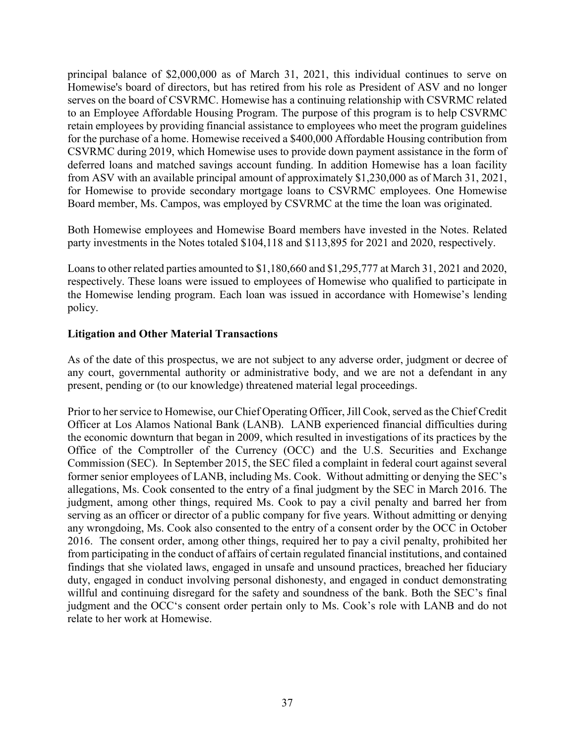principal balance of \$2,000,000 as of March 31, 2021, this individual continues to serve on Homewise's board of directors, but has retired from his role as President of ASV and no longer serves on the board of CSVRMC. Homewise has a continuing relationship with CSVRMC related to an Employee Affordable Housing Program. The purpose of this program is to help CSVRMC retain employees by providing financial assistance to employees who meet the program guidelines for the purchase of a home. Homewise received a \$400,000 Affordable Housing contribution from CSVRMC during 2019, which Homewise uses to provide down payment assistance in the form of deferred loans and matched savings account funding. In addition Homewise has a loan facility from ASV with an available principal amount of approximately \$1,230,000 as of March 31, 2021, for Homewise to provide secondary mortgage loans to CSVRMC employees. One Homewise Board member, Ms. Campos, was employed by CSVRMC at the time the loan was originated.

Both Homewise employees and Homewise Board members have invested in the Notes. Related party investments in the Notes totaled \$104,118 and \$113,895 for 2021 and 2020, respectively.

Loans to other related parties amounted to \$1,180,660 and \$1,295,777 at March 31, 2021 and 2020, respectively. These loans were issued to employees of Homewise who qualified to participate in the Homewise lending program. Each loan was issued in accordance with Homewise's lending policy.

## **Litigation and Other Material Transactions**

As of the date of this prospectus, we are not subject to any adverse order, judgment or decree of any court, governmental authority or administrative body, and we are not a defendant in any present, pending or (to our knowledge) threatened material legal proceedings.

Prior to her service to Homewise, our Chief Operating Officer, Jill Cook, served as the Chief Credit Officer at Los Alamos National Bank (LANB). LANB experienced financial difficulties during the economic downturn that began in 2009, which resulted in investigations of its practices by the Office of the Comptroller of the Currency (OCC) and the U.S. Securities and Exchange Commission (SEC). In September 2015, the SEC filed a complaint in federal court against several former senior employees of LANB, including Ms. Cook. Without admitting or denying the SEC's allegations, Ms. Cook consented to the entry of a final judgment by the SEC in March 2016. The judgment, among other things, required Ms. Cook to pay a civil penalty and barred her from serving as an officer or director of a public company for five years. Without admitting or denying any wrongdoing, Ms. Cook also consented to the entry of a consent order by the OCC in October 2016. The consent order, among other things, required her to pay a civil penalty, prohibited her from participating in the conduct of affairs of certain regulated financial institutions, and contained findings that she violated laws, engaged in unsafe and unsound practices, breached her fiduciary duty, engaged in conduct involving personal dishonesty, and engaged in conduct demonstrating willful and continuing disregard for the safety and soundness of the bank. Both the SEC's final judgment and the OCC's consent order pertain only to Ms. Cook's role with LANB and do not relate to her work at Homewise.